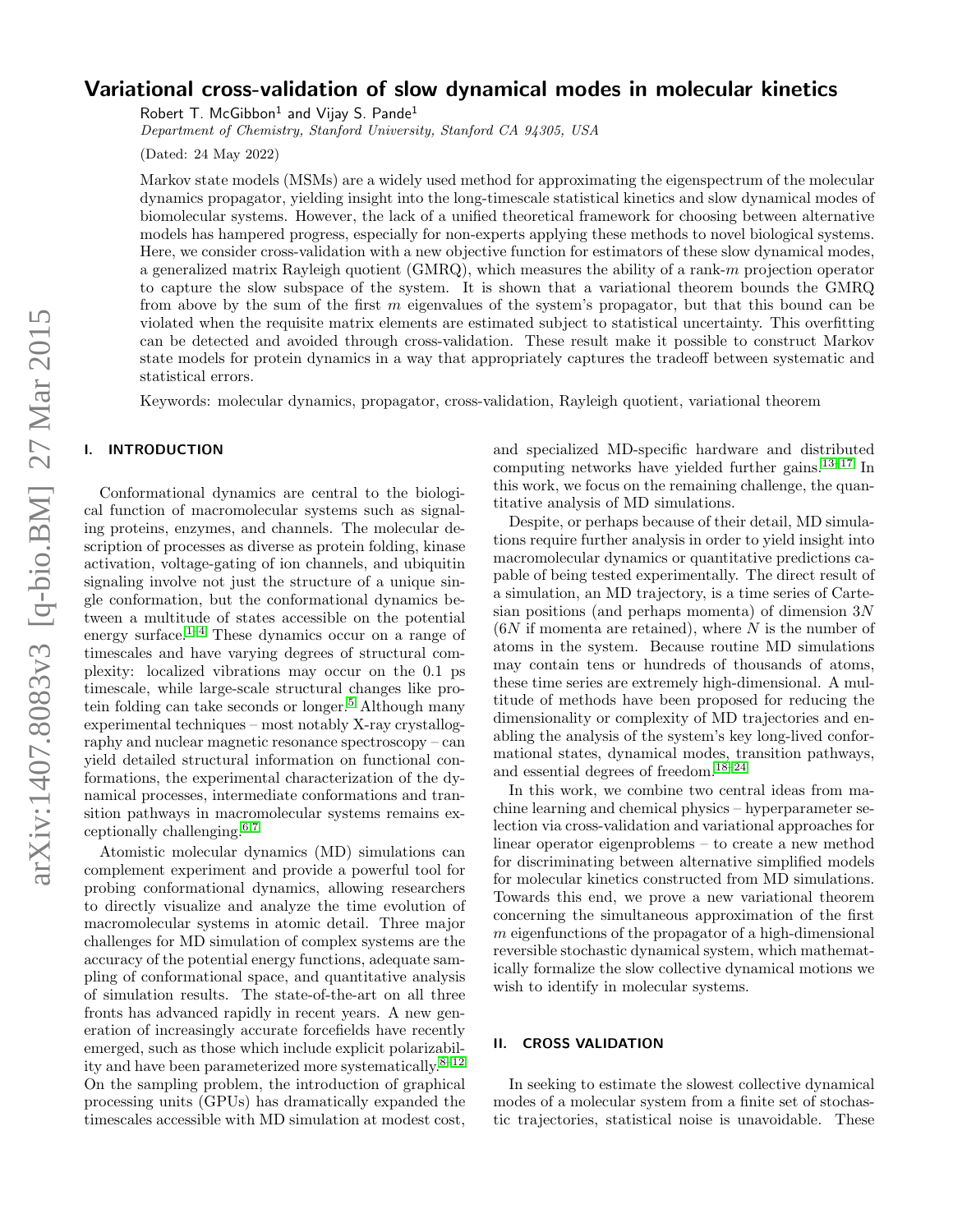# Variational cross-validation of slow dynamical modes in molecular kinetics

Robert T. McGibbon $^1$  and Vijay S. Pande $^1$ 

Department of Chemistry, Stanford University, Stanford CA 94305, USA

(Dated: 24 May 2022)

Markov state models (MSMs) are a widely used method for approximating the eigenspectrum of the molecular dynamics propagator, yielding insight into the long-timescale statistical kinetics and slow dynamical modes of biomolecular systems. However, the lack of a unified theoretical framework for choosing between alternative models has hampered progress, especially for non-experts applying these methods to novel biological systems. Here, we consider cross-validation with a new objective function for estimators of these slow dynamical modes, a generalized matrix Rayleigh quotient (GMRQ), which measures the ability of a rank-m projection operator to capture the slow subspace of the system. It is shown that a variational theorem bounds the GMRQ from above by the sum of the first m eigenvalues of the system's propagator, but that this bound can be violated when the requisite matrix elements are estimated subject to statistical uncertainty. This overfitting can be detected and avoided through cross-validation. These result make it possible to construct Markov state models for protein dynamics in a way that appropriately captures the tradeoff between systematic and statistical errors.

Keywords: molecular dynamics, propagator, cross-validation, Rayleigh quotient, variational theorem

## I. INTRODUCTION

Conformational dynamics are central to the biological function of macromolecular systems such as signaling proteins, enzymes, and channels. The molecular description of processes as diverse as protein folding, kinase activation, voltage-gating of ion channels, and ubiquitin signaling involve not just the structure of a unique single conformation, but the conformational dynamics between a multitude of states accessible on the potential energy surface.<sup>[1–](#page-11-0)[4](#page-11-1)</sup> These dynamics occur on a range of timescales and have varying degrees of structural complexity: localized vibrations may occur on the 0.1 ps timescale, while large-scale structural changes like pro-tein folding can take seconds or longer.<sup>[5](#page-11-2)</sup> Although many experimental techniques – most notably X-ray crystallography and nuclear magnetic resonance spectroscopy – can yield detailed structural information on functional conformations, the experimental characterization of the dynamical processes, intermediate conformations and transition pathways in macromolecular systems remains exceptionally challenging. $6,7$  $6,7$ 

Atomistic molecular dynamics (MD) simulations can complement experiment and provide a powerful tool for probing conformational dynamics, allowing researchers to directly visualize and analyze the time evolution of macromolecular systems in atomic detail. Three major challenges for MD simulation of complex systems are the accuracy of the potential energy functions, adequate sampling of conformational space, and quantitative analysis of simulation results. The state-of-the-art on all three fronts has advanced rapidly in recent years. A new generation of increasingly accurate forcefields have recently emerged, such as those which include explicit polarizability and have been parameterized more systematically.[8–](#page-11-5)[12](#page-11-6) On the sampling problem, the introduction of graphical processing units (GPUs) has dramatically expanded the timescales accessible with MD simulation at modest cost,

and specialized MD-specific hardware and distributed computing networks have yielded further gains.[13](#page-11-7)[–17](#page-11-8) In this work, we focus on the remaining challenge, the quantitative analysis of MD simulations.

Despite, or perhaps because of their detail, MD simulations require further analysis in order to yield insight into macromolecular dynamics or quantitative predictions capable of being tested experimentally. The direct result of a simulation, an MD trajectory, is a time series of Cartesian positions (and perhaps momenta) of dimension  $3N$  $(6N)$  if momenta are retained), where N is the number of atoms in the system. Because routine MD simulations may contain tens or hundreds of thousands of atoms, these time series are extremely high-dimensional. A multitude of methods have been proposed for reducing the dimensionality or complexity of MD trajectories and enabling the analysis of the system's key long-lived conformational states, dynamical modes, transition pathways, and essential degrees of freedom.  $^{18-24}$  $^{18-24}$  $^{18-24}$ 

In this work, we combine two central ideas from machine learning and chemical physics – hyperparameter selection via cross-validation and variational approaches for linear operator eigenproblems – to create a new method for discriminating between alternative simplified models for molecular kinetics constructed from MD simulations. Towards this end, we prove a new variational theorem concerning the simultaneous approximation of the first m eigenfunctions of the propagator of a high-dimensional reversible stochastic dynamical system, which mathematically formalize the slow collective dynamical motions we wish to identify in molecular systems.

# <span id="page-0-0"></span>II. CROSS VALIDATION

In seeking to estimate the slowest collective dynamical modes of a molecular system from a finite set of stochastic trajectories, statistical noise is unavoidable. These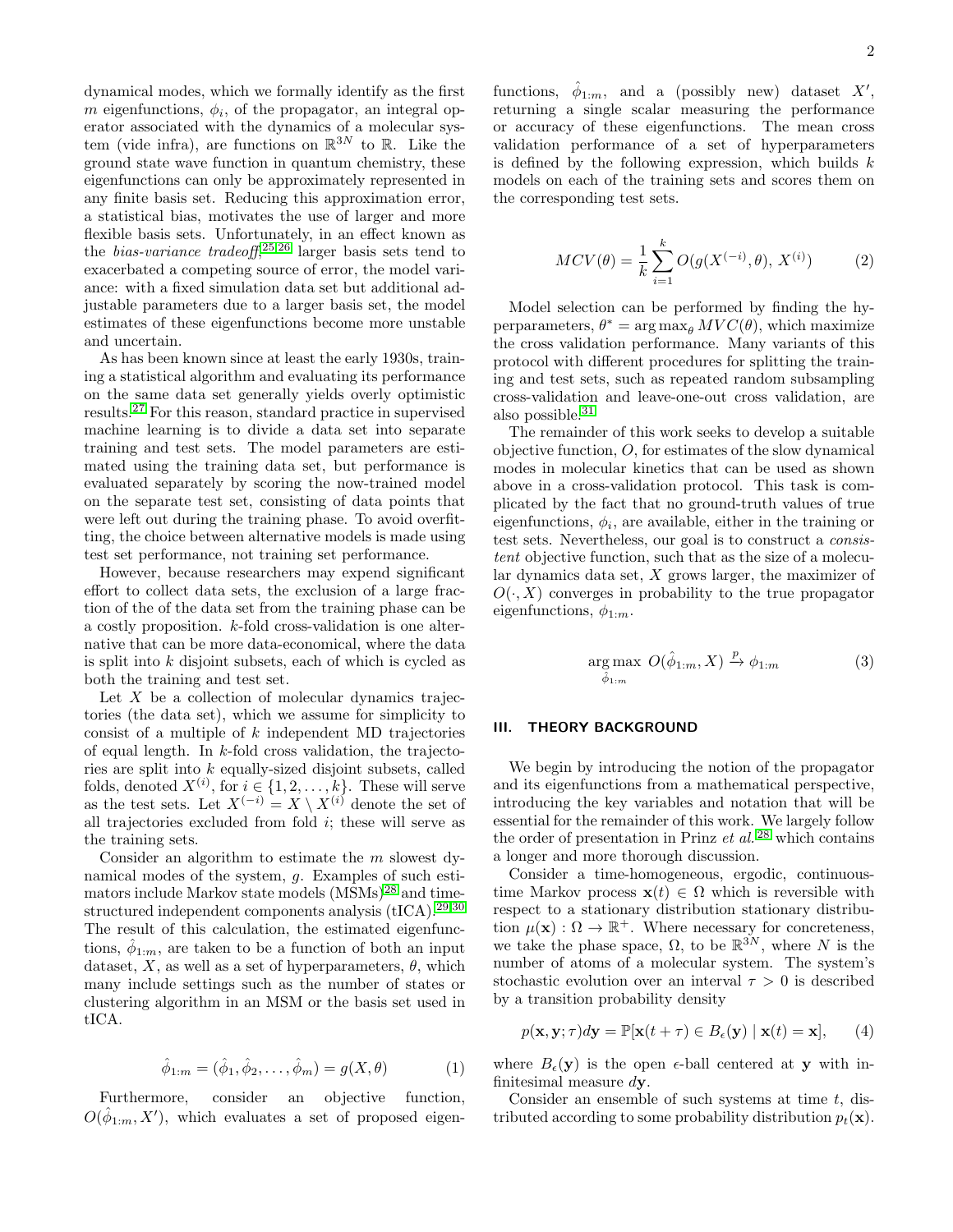dynamical modes, which we formally identify as the first m eigenfunctions,  $\phi_i$ , of the propagator, an integral operator associated with the dynamics of a molecular system (vide infra), are functions on  $\mathbb{R}^{3N}$  to  $\mathbb{R}$ . Like the ground state wave function in quantum chemistry, these eigenfunctions can only be approximately represented in any finite basis set. Reducing this approximation error, a statistical bias, motivates the use of larger and more flexible basis sets. Unfortunately, in an effect known as the *bias-variance tradeoff*,<sup>[25](#page-11-11)[,26](#page-11-12)</sup> larger basis sets tend to exacerbated a competing source of error, the model variance: with a fixed simulation data set but additional adjustable parameters due to a larger basis set, the model estimates of these eigenfunctions become more unstable and uncertain.

As has been known since at least the early 1930s, training a statistical algorithm and evaluating its performance on the same data set generally yields overly optimistic results.[27](#page-11-13) For this reason, standard practice in supervised machine learning is to divide a data set into separate training and test sets. The model parameters are estimated using the training data set, but performance is evaluated separately by scoring the now-trained model on the separate test set, consisting of data points that were left out during the training phase. To avoid overfitting, the choice between alternative models is made using test set performance, not training set performance.

However, because researchers may expend significant effort to collect data sets, the exclusion of a large fraction of the of the data set from the training phase can be a costly proposition. k-fold cross-validation is one alternative that can be more data-economical, where the data is split into k disjoint subsets, each of which is cycled as both the training and test set.

Let  $X$  be a collection of molecular dynamics trajectories (the data set), which we assume for simplicity to consist of a multiple of  $k$  independent MD trajectories of equal length. In k-fold cross validation, the trajectories are split into  $k$  equally-sized disjoint subsets, called folds, denoted  $X^{(i)}$ , for  $i \in \{1, 2, ..., k\}$ . These will serve as the test sets. Let  $X^{(-i)} = X \setminus X^{(i)}$  denote the set of all trajectories excluded from fold  $i$ ; these will serve as the training sets.

Consider an algorithm to estimate the m slowest dynamical modes of the system, g. Examples of such estimators include Markov state models (MSMs)[28](#page-11-14) and timestructured independent components analysis  $(tICA).^{29,30}$  $(tICA).^{29,30}$  $(tICA).^{29,30}$  $(tICA).^{29,30}$ The result of this calculation, the estimated eigenfunctions,  $\hat{\phi}_{1:m}$ , are taken to be a function of both an input dataset, X, as well as a set of hyperparameters,  $\theta$ , which many include settings such as the number of states or clustering algorithm in an MSM or the basis set used in tICA.

$$
\hat{\phi}_{1:m} = (\hat{\phi}_1, \hat{\phi}_2, \dots, \hat{\phi}_m) = g(X, \theta)
$$
\n(1)

Furthermore, consider an objective function,  $O(\hat{\phi}_{1:m}, X')$ , which evaluates a set of proposed eigen-

functions,  $\hat{\phi}_{1:m}$ , and a (possibly new) dataset X', returning a single scalar measuring the performance or accuracy of these eigenfunctions. The mean cross validation performance of a set of hyperparameters is defined by the following expression, which builds  $k$ models on each of the training sets and scores them on the corresponding test sets.

$$
MCV(\theta) = \frac{1}{k} \sum_{i=1}^{k} O(g(X^{(-i)}, \theta), X^{(i)})
$$
 (2)

Model selection can be performed by finding the hyperparameters,  $\theta^* = \arg \max_{\theta} MVC(\theta)$ , which maximize the cross validation performance. Many variants of this protocol with different procedures for splitting the training and test sets, such as repeated random subsampling cross-validation and leave-one-out cross validation, are also possible.[31](#page-12-1)

The remainder of this work seeks to develop a suitable objective function,  $O$ , for estimates of the slow dynamical modes in molecular kinetics that can be used as shown above in a cross-validation protocol. This task is complicated by the fact that no ground-truth values of true eigenfunctions,  $\phi_i$ , are available, either in the training or test sets. Nevertheless, our goal is to construct a consistent objective function, such that as the size of a molecular dynamics data set, X grows larger, the maximizer of  $O(\cdot, X)$  converges in probability to the true propagator eigenfunctions,  $\phi_{1:m}$ .

<span id="page-1-0"></span>
$$
\underset{\hat{\phi}_{1:m}}{\arg \max} \ O(\hat{\phi}_{1:m}, X) \xrightarrow{p} \phi_{1:m} \tag{3}
$$

## III. THEORY BACKGROUND

We begin by introducing the notion of the propagator and its eigenfunctions from a mathematical perspective, introducing the key variables and notation that will be essential for the remainder of this work. We largely follow the order of presentation in Prinz  $et$  al.<sup>[28](#page-11-14)</sup> which contains a longer and more thorough discussion.

Consider a time-homogeneous, ergodic, continuoustime Markov process  $\mathbf{x}(t) \in \Omega$  which is reversible with respect to a stationary distribution stationary distribution  $\mu(\mathbf{x}) : \Omega \to \mathbb{R}^+$ . Where necessary for concreteness, we take the phase space,  $\Omega$ , to be  $\mathbb{R}^{3N}$ , where N is the number of atoms of a molecular system. The system's stochastic evolution over an interval  $\tau > 0$  is described by a transition probability density

$$
p(\mathbf{x}, \mathbf{y}; \tau) d\mathbf{y} = \mathbb{P}[\mathbf{x}(t + \tau) \in B_{\epsilon}(\mathbf{y}) \mid \mathbf{x}(t) = \mathbf{x}], \quad (4)
$$

where  $B_{\epsilon}(\mathbf{y})$  is the open  $\epsilon$ -ball centered at y with infinitesimal measure  $dy$ .

Consider an ensemble of such systems at time  $t$ , distributed according to some probability distribution  $p_t(\mathbf{x})$ .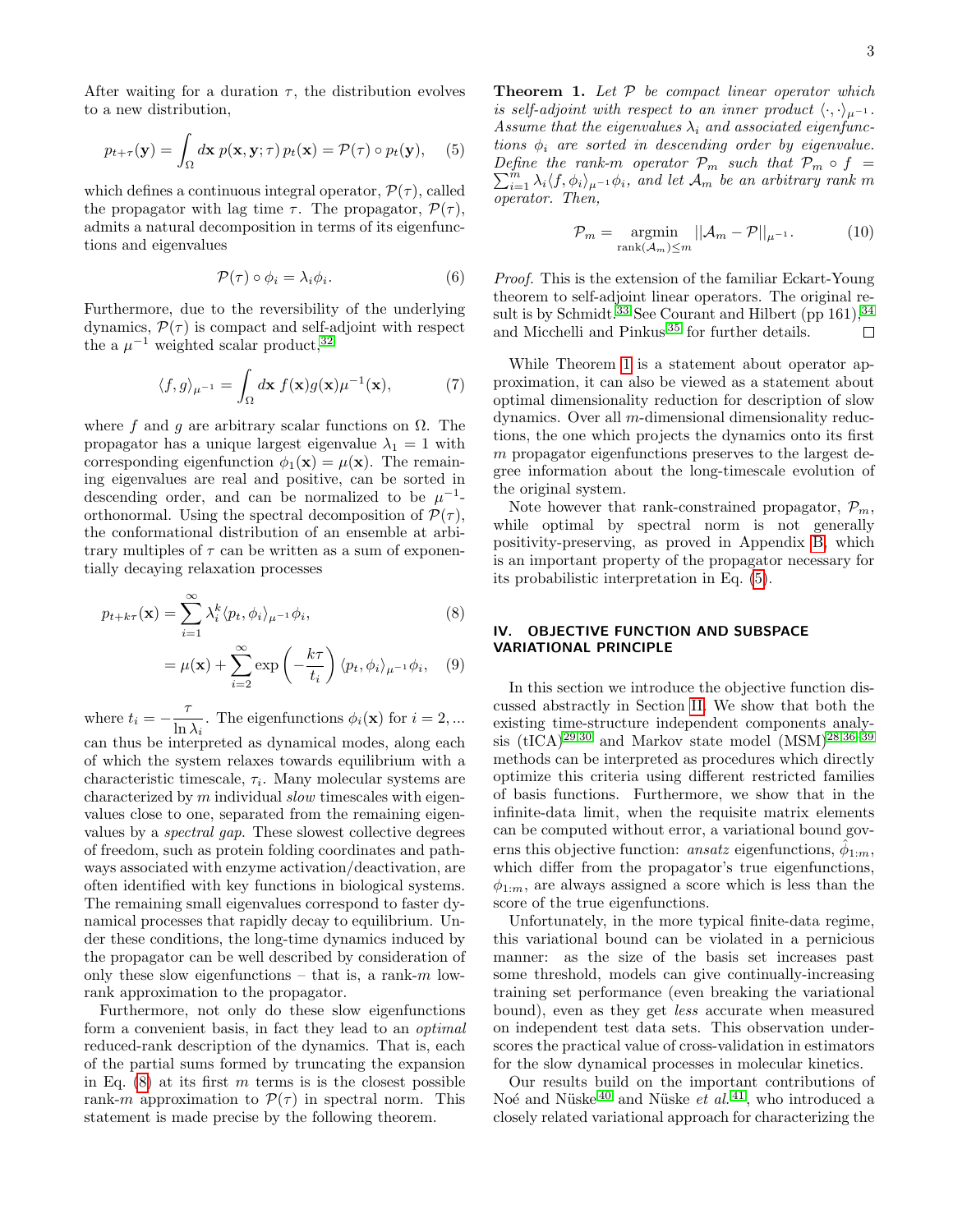After waiting for a duration  $\tau$ , the distribution evolves to a new distribution,

<span id="page-2-2"></span>
$$
p_{t+\tau}(\mathbf{y}) = \int_{\Omega} d\mathbf{x} \ p(\mathbf{x}, \mathbf{y}; \tau) \ p_t(\mathbf{x}) = \mathcal{P}(\tau) \circ p_t(\mathbf{y}), \quad (5)
$$

which defines a continuous integral operator,  $\mathcal{P}(\tau)$ , called the propagator with lag time  $\tau$ . The propagator,  $\mathcal{P}(\tau)$ , admits a natural decomposition in terms of its eigenfunctions and eigenvalues

$$
\mathcal{P}(\tau) \circ \phi_i = \lambda_i \phi_i. \tag{6}
$$

Furthermore, due to the reversibility of the underlying dynamics,  $\mathcal{P}(\tau)$  is compact and self-adjoint with respect the a  $\mu^{-1}$  weighted scalar product,<sup>[32](#page-12-2)</sup>

$$
\langle f, g \rangle_{\mu^{-1}} = \int_{\Omega} d\mathbf{x} \ f(\mathbf{x}) g(\mathbf{x}) \mu^{-1}(\mathbf{x}), \tag{7}
$$

where f and g are arbitrary scalar functions on  $\Omega$ . The propagator has a unique largest eigenvalue  $\lambda_1 = 1$  with corresponding eigenfunction  $\phi_1(\mathbf{x}) = \mu(\mathbf{x})$ . The remaining eigenvalues are real and positive, can be sorted in descending order, and can be normalized to be  $\mu^{-1}$ orthonormal. Using the spectral decomposition of  $\mathcal{P}(\tau)$ , the conformational distribution of an ensemble at arbitrary multiples of  $\tau$  can be written as a sum of exponentially decaying relaxation processes

$$
p_{t+k\tau}(\mathbf{x}) = \sum_{i=1}^{\infty} \lambda_i^k \langle p_t, \phi_i \rangle_{\mu^{-1}} \phi_i,
$$
\n(8)

$$
= \mu(\mathbf{x}) + \sum_{i=2}^{\infty} \exp\left(-\frac{k\tau}{t_i}\right) \langle p_t, \phi_i \rangle_{\mu^{-1}} \phi_i, \quad (9)
$$

where  $t_i = -\frac{\tau}{\ln 2}$  $\frac{1}{\ln \lambda_i}$ . The eigenfunctions  $\phi_i(\mathbf{x})$  for  $i = 2, ...$ can thus be interpreted as dynamical modes, along each of which the system relaxes towards equilibrium with a characteristic timescale,  $\tau_i$ . Many molecular systems are characterized by  $m$  individual  $slow$  timescales with eigenvalues close to one, separated from the remaining eigenvalues by a spectral gap. These slowest collective degrees of freedom, such as protein folding coordinates and pathways associated with enzyme activation/deactivation, are often identified with key functions in biological systems. The remaining small eigenvalues correspond to faster dynamical processes that rapidly decay to equilibrium. Under these conditions, the long-time dynamics induced by the propagator can be well described by consideration of only these slow eigenfunctions – that is, a rank- $m$  lowrank approximation to the propagator.

Furthermore, not only do these slow eigenfunctions form a convenient basis, in fact they lead to an optimal reduced-rank description of the dynamics. That is, each of the partial sums formed by truncating the expansion in Eq.  $(8)$  at its first m terms is is the closest possible rank-m approximation to  $\mathcal{P}(\tau)$  in spectral norm. This statement is made precise by the following theorem.

<span id="page-2-1"></span>**Theorem 1.** Let  $P$  be compact linear operator which is self-adjoint with respect to an inner product  $\langle \cdot, \cdot \rangle_{\mu^{-1}}$ . Assume that the eigenvalues  $\lambda_i$  and associated eigenfunctions  $\phi_i$  are sorted in descending order by eigenvalue. Define the rank- $\sum$  $n_{\text{eff}}^{\text{time}}$  the rank-m operator  $\mathcal{P}_m$  such that  $\mathcal{P}_m \circ f = \sum_{i=1}^m \lambda_i \langle f, \phi_i \rangle_{\mu^{-1}} \phi_i$ , and let  $\mathcal{A}_m$  be an arbitrary rank m operator. Then,

$$
\mathcal{P}_m = \underset{\text{rank}(\mathcal{A}_m) \le m}{\operatorname{argmin}} ||\mathcal{A}_m - \mathcal{P}||_{\mu^{-1}}.
$$
 (10)

Proof. This is the extension of the familiar Eckart-Young theorem to self-adjoint linear operators. The original re-sult is by Schmidt.<sup>[33](#page-12-3)</sup> See Courant and Hilbert (pp  $161$ ),<sup>[34](#page-12-4)</sup> and Micchelli and Pinkus [35](#page-12-5) for further details.  $\Box$ 

While Theorem [1](#page-2-1) is a statement about operator approximation, it can also be viewed as a statement about optimal dimensionality reduction for description of slow dynamics. Over all m-dimensional dimensionality reductions, the one which projects the dynamics onto its first m propagator eigenfunctions preserves to the largest degree information about the long-timescale evolution of the original system.

Note however that rank-constrained propagator,  $\mathcal{P}_m$ , while optimal by spectral norm is not generally positivity-preserving, as proved in Appendix [B,](#page-9-0) which is an important property of the propagator necessary for its probabilistic interpretation in Eq. [\(5\)](#page-2-2).

# <span id="page-2-0"></span>IV. OBJECTIVE FUNCTION AND SUBSPACE VARIATIONAL PRINCIPLE

In this section we introduce the objective function discussed abstractly in Section [II.](#page-0-0) We show that both the existing time-structure independent components analysis  $(tICA)^{29,30}$  $(tICA)^{29,30}$  $(tICA)^{29,30}$  $(tICA)^{29,30}$  and Markov state model  $(MSM)^{28,36-39}$  $(MSM)^{28,36-39}$  $(MSM)^{28,36-39}$  $(MSM)^{28,36-39}$  $(MSM)^{28,36-39}$ methods can be interpreted as procedures which directly optimize this criteria using different restricted families of basis functions. Furthermore, we show that in the infinite-data limit, when the requisite matrix elements can be computed without error, a variational bound governs this objective function: ansatz eigenfunctions,  $\hat{\phi}_{1:m}$ , which differ from the propagator's true eigenfunctions,  $\phi_{1:m}$ , are always assigned a score which is less than the score of the true eigenfunctions.

Unfortunately, in the more typical finite-data regime, this variational bound can be violated in a pernicious manner: as the size of the basis set increases past some threshold, models can give continually-increasing training set performance (even breaking the variational bound), even as they get less accurate when measured on independent test data sets. This observation underscores the practical value of cross-validation in estimators for the slow dynamical processes in molecular kinetics.

Our results build on the important contributions of Noé and Nüske  $40$  and Nüske *et al.*  $41$ , who introduced a closely related variational approach for characterizing the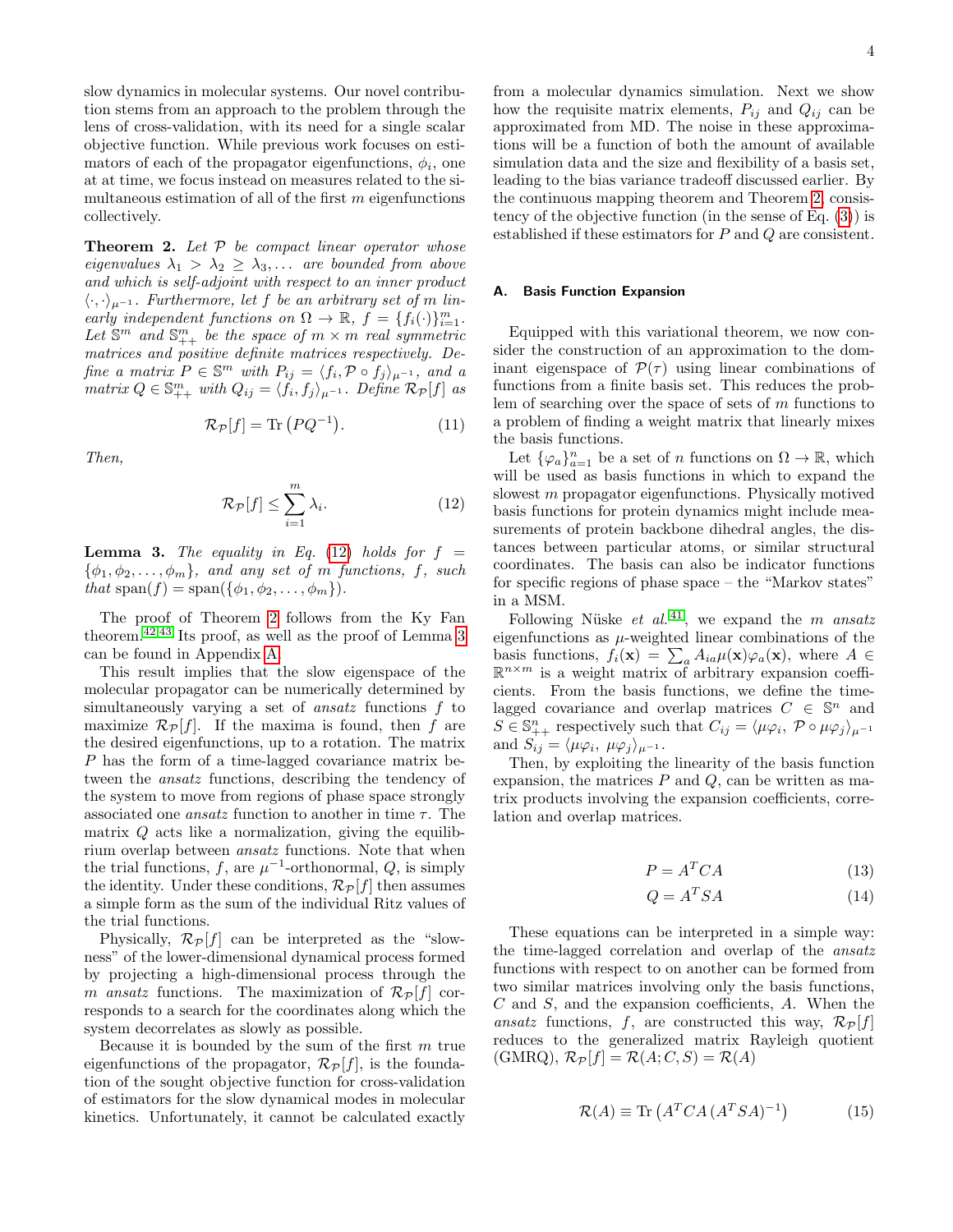slow dynamics in molecular systems. Our novel contribution stems from an approach to the problem through the lens of cross-validation, with its need for a single scalar objective function. While previous work focuses on estimators of each of the propagator eigenfunctions,  $\phi_i$ , one at at time, we focus instead on measures related to the simultaneous estimation of all of the first  $m$  eigenfunctions collectively.

<span id="page-3-1"></span>**Theorem 2.** Let  $P$  be compact linear operator whose eigenvalues  $\lambda_1 > \lambda_2 \geq \lambda_3, \ldots$  are bounded from above and which is self-adjoint with respect to an inner product  $\langle \cdot, \cdot \rangle_{\mu^{-1}}$ . Furthermore, let f be an arbitrary set of m linearly independent functions on  $\Omega \to \mathbb{R}$ ,  $f = \{f_i(\cdot)\}_{i=1}^m$ . Let  $\mathbb{S}^m$  and  $\mathbb{S}_{++}^m$  be the space of  $m \times m$  real symmetric matrices and positive definite matrices respectively. Define a matrix  $P \in \mathbb{S}^m$  with  $P_{ij} = \langle f_i, \mathcal{P} \circ f_j \rangle_{\mu^{-1}}$ , and a matrix  $Q \in \mathbb{S}_{++}^m$  with  $Q_{ij} = \langle f_i, f_j \rangle_{\mu^{-1}}$ . Define  $\mathcal{R}_{\mathcal{P}}[f]$  as

$$
\mathcal{R}_{\mathcal{P}}[f] = \text{Tr}\left(PQ^{-1}\right). \tag{11}
$$

Then,

<span id="page-3-0"></span>
$$
\mathcal{R}_{\mathcal{P}}[f] \le \sum_{i=1}^{m} \lambda_i.
$$
 (12)

<span id="page-3-2"></span>**Lemma 3.** The equality in Eq. [\(12\)](#page-3-0) holds for  $f =$  $\{\phi_1, \phi_2, \ldots, \phi_m\}$ , and any set of m functions, f, such that  $\text{span}(f) = \text{span}(\{\phi_1, \phi_2, \dots, \phi_m\}).$ 

The proof of Theorem [2](#page-3-1) follows from the Ky Fan theorem.[42](#page-12-10)[,43](#page-12-11) Its proof, as well as the proof of Lemma [3](#page-3-2) can be found in Appendix [A.](#page-9-1)

This result implies that the slow eigenspace of the molecular propagator can be numerically determined by simultaneously varying a set of ansatz functions f to maximize  $\mathcal{R}_{\mathcal{P}}[f]$ . If the maxima is found, then f are the desired eigenfunctions, up to a rotation. The matrix P has the form of a time-lagged covariance matrix between the ansatz functions, describing the tendency of the system to move from regions of phase space strongly associated one *ansatz* function to another in time  $\tau$ . The matrix  $Q$  acts like a normalization, giving the equilibrium overlap between ansatz functions. Note that when the trial functions, f, are  $\mu^{-1}$ -orthonormal, Q, is simply the identity. Under these conditions,  $\mathcal{R}_{\mathcal{P}}[f]$  then assumes a simple form as the sum of the individual Ritz values of the trial functions.

Physically,  $\mathcal{R}_{\mathcal{P}}[f]$  can be interpreted as the "slowness" of the lower-dimensional dynamical process formed by projecting a high-dimensional process through the m ansatz functions. The maximization of  $\mathcal{R}_{\mathcal{P}}[f]$  corresponds to a search for the coordinates along which the system decorrelates as slowly as possible.

Because it is bounded by the sum of the first  $m$  true eigenfunctions of the propagator,  $\mathcal{R}_{\mathcal{P}}[f]$ , is the foundation of the sought objective function for cross-validation of estimators for the slow dynamical modes in molecular kinetics. Unfortunately, it cannot be calculated exactly

from a molecular dynamics simulation. Next we show how the requisite matrix elements,  $P_{ij}$  and  $Q_{ij}$  can be approximated from MD. The noise in these approximations will be a function of both the amount of available simulation data and the size and flexibility of a basis set, leading to the bias variance tradeoff discussed earlier. By the continuous mapping theorem and Theorem [2,](#page-3-1) consistency of the objective function (in the sense of Eq. [\(3\)](#page-1-0)) is established if these estimators for P and Q are consistent.

## A. Basis Function Expansion

Equipped with this variational theorem, we now consider the construction of an approximation to the dominant eigenspace of  $\mathcal{P}(\tau)$  using linear combinations of functions from a finite basis set. This reduces the problem of searching over the space of sets of  $m$  functions to a problem of finding a weight matrix that linearly mixes the basis functions.

Let  $\{\varphi_a\}_{a=1}^n$  be a set of *n* functions on  $\Omega \to \mathbb{R}$ , which will be used as basis functions in which to expand the slowest m propagator eigenfunctions. Physically motived basis functions for protein dynamics might include measurements of protein backbone dihedral angles, the distances between particular atoms, or similar structural coordinates. The basis can also be indicator functions for specific regions of phase space – the "Markov states" in a MSM.

Following Nüske *et al.*<sup>[41](#page-12-9)</sup>, we expand the *m* ansatz eigenfunctions as  $\mu$ -weighted linear combinations of the basis functions,  $f_i(\mathbf{x}) = \sum_a A_{ia} \mu(\mathbf{x}) \varphi_a(\mathbf{x})$ , where  $A \in \mathbb{R}^{n \times m}$  is a weight matrix of arbitrary expansion coefficients. From the basis functions, we define the timelagged covariance and overlap matrices  $C \in \mathbb{S}^n$  and  $S \in \mathbb{S}_{++}^n$  respectively such that  $C_{ij} = \langle \mu \varphi_i, \mathcal{P} \circ \mu \varphi_j \rangle_{\mu^{-1}}$ and  $S_{ij} = \langle \mu \varphi_i, \ \mu \varphi_j \rangle_{\mu^{-1}}$ .

Then, by exploiting the linearity of the basis function expansion, the matrices  $P$  and  $Q$ , can be written as matrix products involving the expansion coefficients, correlation and overlap matrices.

$$
P = A^T C A \tag{13}
$$

$$
Q = A^T S A \tag{14}
$$

These equations can be interpreted in a simple way: the time-lagged correlation and overlap of the ansatz functions with respect to on another can be formed from two similar matrices involving only the basis functions,  $C$  and  $S$ , and the expansion coefficients,  $A$ . When the ansatz functions, f, are constructed this way,  $\mathcal{R}_{\mathcal{P}}[f]$ reduces to the generalized matrix Rayleigh quotient  $(\text{GMRQ}), \mathcal{R}_{\mathcal{P}}[f] = \mathcal{R}(A; C, S) = \mathcal{R}(A)$ 

<span id="page-3-3"></span>
$$
\mathcal{R}(A) \equiv \text{Tr}\left(A^T C A \left(A^T S A\right)^{-1}\right) \tag{15}
$$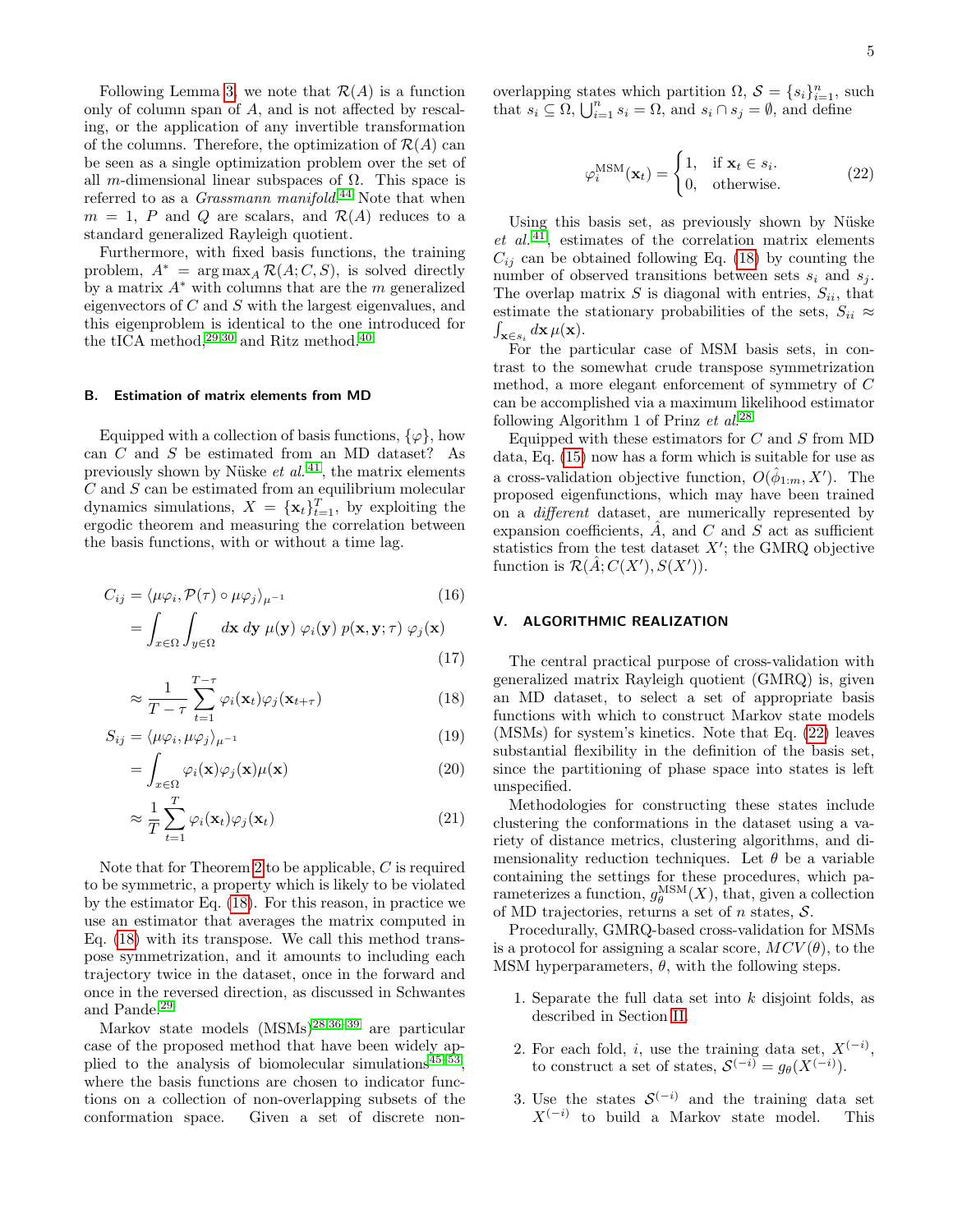Following Lemma [3,](#page-3-2) we note that  $\mathcal{R}(A)$  is a function only of column span of A, and is not affected by rescaling, or the application of any invertible transformation of the columns. Therefore, the optimization of  $\mathcal{R}(A)$  can be seen as a single optimization problem over the set of all m-dimensional linear subspaces of  $\Omega$ . This space is referred to as a *Grassmann manifold*.<sup>[44](#page-12-12)</sup> Note that when  $m = 1$ , P and Q are scalars, and  $\mathcal{R}(A)$  reduces to a standard generalized Rayleigh quotient.

Furthermore, with fixed basis functions, the training problem,  $A^* = \arg \max_{A} \mathcal{R}(A; C, S)$ , is solved directly by a matrix  $A^*$  with columns that are the m generalized eigenvectors of C and S with the largest eigenvalues, and this eigenproblem is identical to the one introduced for the tICA method,  $29,30$  $29,30$  and Ritz method.  $40$ 

## <span id="page-4-2"></span>B. Estimation of matrix elements from MD

Equipped with a collection of basis functions,  $\{\varphi\}$ , how can C and S be estimated from an MD dataset? As previously shown by Nüske  $et \ al.$ <sup>[41](#page-12-9)</sup>, the matrix elements  $C$  and  $S$  can be estimated from an equilibrium molecular dynamics simulations,  $X = {\mathbf{x}_t}_{t=1}^T$ , by exploiting the ergodic theorem and measuring the correlation between the basis functions, with or without a time lag.

$$
C_{ij} = \langle \mu \varphi_i, \mathcal{P}(\tau) \circ \mu \varphi_j \rangle_{\mu^{-1}} \qquad (16)
$$
  
= 
$$
\int_{x \in \Omega} \int_{y \in \Omega} dx \, dy \, \mu(\mathbf{y}) \, \varphi_i(\mathbf{y}) \, p(\mathbf{x}, \mathbf{y}; \tau) \, \varphi_j(\mathbf{x}) \qquad (17)
$$

$$
\approx \frac{1}{T-\tau} \sum_{t=1}^{T-\tau} \varphi_i(\mathbf{x}_t) \varphi_j(\mathbf{x}_{t+\tau})
$$
\n(18)

$$
S_{ij} = \langle \mu \varphi_i, \mu \varphi_j \rangle_{\mu^{-1}}
$$
\n(19)

$$
=\int_{x\in\Omega}\varphi_i(\mathbf{x})\varphi_j(\mathbf{x})\mu(\mathbf{x})
$$
\n(20)

$$
\approx \frac{1}{T} \sum_{t=1}^{T} \varphi_i(\mathbf{x}_t) \varphi_j(\mathbf{x}_t)
$$
\n(21)

Note that for Theorem [2](#page-3-1) to be applicable, C is required to be symmetric, a property which is likely to be violated by the estimator Eq. [\(18\)](#page-4-0). For this reason, in practice we use an estimator that averages the matrix computed in Eq. [\(18\)](#page-4-0) with its transpose. We call this method transpose symmetrization, and it amounts to including each trajectory twice in the dataset, once in the forward and once in the reversed direction, as discussed in Schwantes and Pande. $^{29}\,$  $^{29}\,$  $^{29}\,$ 

Markov state models  $(MSMs)^{28,36-39}$  $(MSMs)^{28,36-39}$  $(MSMs)^{28,36-39}$  $(MSMs)^{28,36-39}$  are particular case of the proposed method that have been widely applied to the analysis of biomolecular simulations<sup> $45-53$  $45-53$ </sup>, where the basis functions are chosen to indicator functions on a collection of non-overlapping subsets of the conformation space. Given a set of discrete nonoverlapping states which partition  $\Omega$ ,  $\mathcal{S} = \{s_i\}_{i=1}^n$ , such that  $s_i \subseteq \Omega$ ,  $\bigcup_{i=1}^n s_i = \Omega$ , and  $s_i \cap s_j = \emptyset$ , and define

<span id="page-4-1"></span>
$$
\varphi_i^{\text{MSM}}(\mathbf{x}_t) = \begin{cases} 1, & \text{if } \mathbf{x}_t \in s_i. \\ 0, & \text{otherwise.} \end{cases} \tag{22}
$$

Using this basis set, as previously shown by Nüske  $et \ al.$ <sup>[41](#page-12-9)</sup>, estimates of the correlation matrix elements  $C_{ii}$  can be obtained following Eq. [\(18\)](#page-4-0) by counting the number of observed transitions between sets  $s_i$  and  $s_j$ . The overlap matrix S is diagonal with entries,  $S_{ii}$ , that estimate the stationary probabilities of the sets,  $S_{ii} \approx$  $\int_{\mathbf{x}\in s_i} d\mathbf{x} \mu(\mathbf{x}).$ 

For the particular case of MSM basis sets, in contrast to the somewhat crude transpose symmetrization method, a more elegant enforcement of symmetry of C can be accomplished via a maximum likelihood estimator following Algorithm 1 of Prinz  $et \ al.<sup>28</sup>$  $et \ al.<sup>28</sup>$  $et \ al.<sup>28</sup>$ 

Equipped with these estimators for  $C$  and  $S$  from MD data, Eq. [\(15\)](#page-3-3) now has a form which is suitable for use as a cross-validation objective function,  $O(\hat{\phi}_{1:m}, X')$ . The proposed eigenfunctions, which may have been trained on a different dataset, are numerically represented by expansion coefficients,  $\hat{A}$ , and  $C$  and  $S$  act as sufficient statistics from the test dataset  $X'$ ; the GMRQ objective function is  $\mathcal{R}(\hat{A}; C(X'), S(X')).$ 

# V. ALGORITHMIC REALIZATION

<span id="page-4-0"></span>The central practical purpose of cross-validation with generalized matrix Rayleigh quotient (GMRQ) is, given an MD dataset, to select a set of appropriate basis functions with which to construct Markov state models (MSMs) for system's kinetics. Note that Eq. [\(22\)](#page-4-1) leaves substantial flexibility in the definition of the basis set, since the partitioning of phase space into states is left unspecified.

Methodologies for constructing these states include clustering the conformations in the dataset using a variety of distance metrics, clustering algorithms, and dimensionality reduction techniques. Let  $\theta$  be a variable containing the settings for these procedures, which parameterizes a function,  $g_{\theta}^{\text{MSM}}(X)$ , that, given a collection of MD trajectories, returns a set of  $n$  states,  $S$ .

Procedurally, GMRQ-based cross-validation for MSMs is a protocol for assigning a scalar score,  $MCV(\theta)$ , to the MSM hyperparameters,  $\theta$ , with the following steps.

- 1. Separate the full data set into  $k$  disjoint folds, as described in Section [II.](#page-0-0)
- 2. For each fold, i, use the training data set,  $X^{(-i)}$ , to construct a set of states,  $S^{(-i)} = g_{\theta}(X^{(-i)})$ .
- 3. Use the states  $\mathcal{S}^{(-i)}$  and the training data set  $X^{(-i)}$  to build a Markov state model. This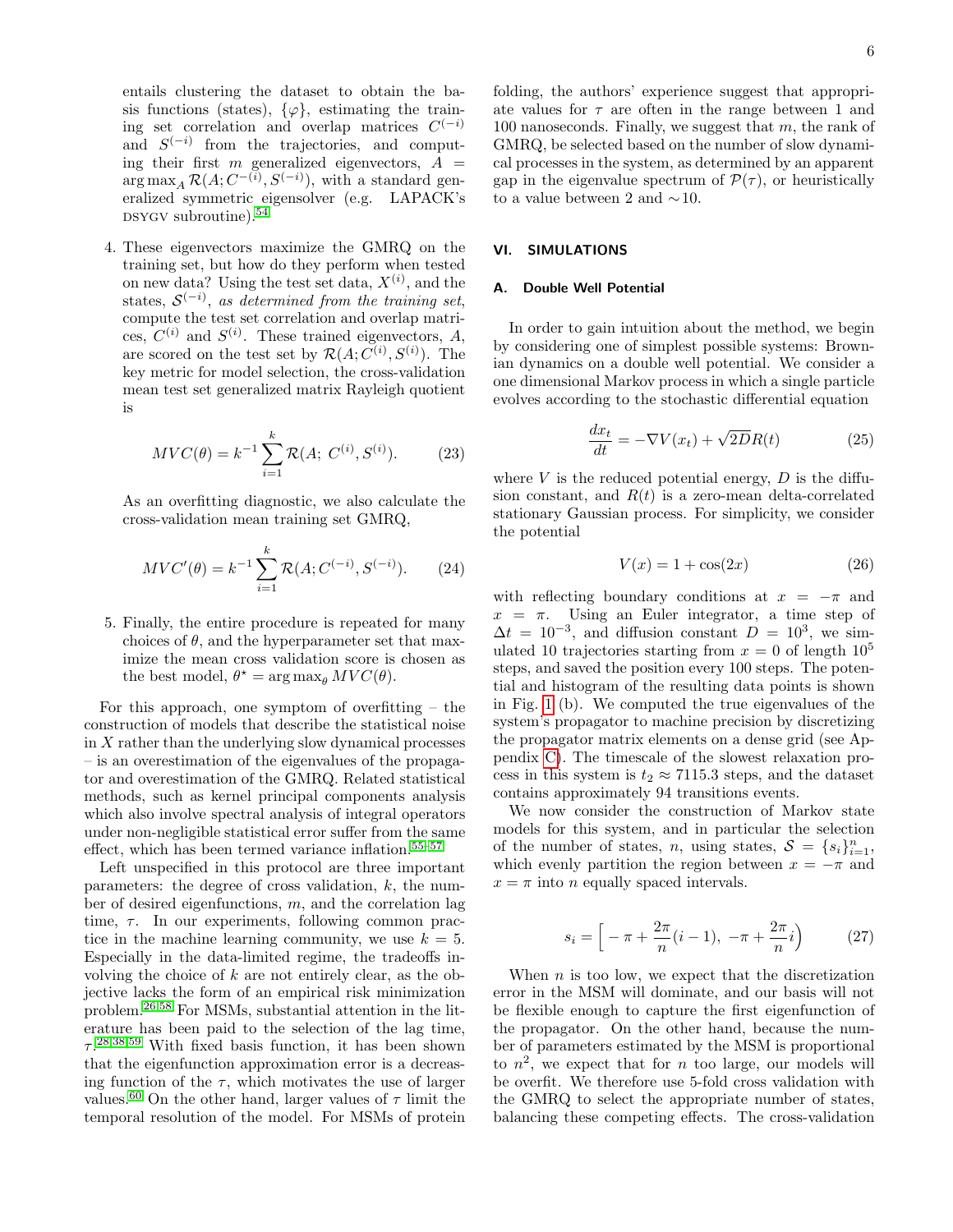entails clustering the dataset to obtain the basis functions (states),  $\{\varphi\}$ , estimating the training set correlation and overlap matrices  $C^{(-i)}$ and  $S^{(-i)}$  from the trajectories, and computing their first m generalized eigenvectors,  $\overline{A}$  =  $\arg \max_{A} \mathcal{R}(A; C^{-(i)}, S^{(-i)})$ , with a standard generalized symmetric eigensolver (e.g. LAPACK's  $DSYGV$  subroutine).<sup>[54](#page-12-15)</sup>

4. These eigenvectors maximize the GMRQ on the training set, but how do they perform when tested on new data? Using the test set data,  $X^{(i)}$ , and the states,  $\mathcal{S}^{(-i)}$ , as determined from the training set, compute the test set correlation and overlap matrices,  $C^{(i)}$  and  $S^{(i)}$ . These trained eigenvectors, A, are scored on the test set by  $\mathcal{R}(A; C^{(i)}, S^{(i)})$ . The key metric for model selection, the cross-validation mean test set generalized matrix Rayleigh quotient is

$$
MVC(\theta) = k^{-1} \sum_{i=1}^{k} \mathcal{R}(A; C^{(i)}, S^{(i)}).
$$
 (23)

As an overfitting diagnostic, we also calculate the cross-validation mean training set GMRQ,

$$
MVC'(\theta) = k^{-1} \sum_{i=1}^{k} \mathcal{R}(A; C^{(-i)}, S^{(-i)}).
$$
 (24)

5. Finally, the entire procedure is repeated for many choices of  $\theta$ , and the hyperparameter set that maximize the mean cross validation score is chosen as the best model,  $\theta^* = \arg \max_{\theta} MVC(\theta)$ .

For this approach, one symptom of overfitting – the construction of models that describe the statistical noise in X rather than the underlying slow dynamical processes – is an overestimation of the eigenvalues of the propagator and overestimation of the GMRQ. Related statistical methods, such as kernel principal components analysis which also involve spectral analysis of integral operators under non-negligible statistical error suffer from the same effect, which has been termed variance inflation.<sup>[55](#page-12-16)[–57](#page-12-17)</sup>

Left unspecified in this protocol are three important parameters: the degree of cross validation,  $k$ , the number of desired eigenfunctions,  $m$ , and the correlation lag time,  $\tau$ . In our experiments, following common practice in the machine learning community, we use  $k = 5$ . Especially in the data-limited regime, the tradeoffs involving the choice of  $k$  are not entirely clear, as the objective lacks the form of an empirical risk minimization problem.[26](#page-11-12)[,58](#page-12-18) For MSMs, substantial attention in the literature has been paid to the selection of the lag time,  $\tau$ <sup>[28](#page-11-14)[,38](#page-12-19)[,59](#page-12-20)</sup> With fixed basis function, it has been shown that the eigenfunction approximation error is a decreasing function of the  $\tau$ , which motivates the use of larger values.<sup>[60](#page-12-21)</sup> On the other hand, larger values of  $\tau$  limit the temporal resolution of the model. For MSMs of protein

folding, the authors' experience suggest that appropriate values for  $\tau$  are often in the range between 1 and 100 nanoseconds. Finally, we suggest that  $m$ , the rank of GMRQ, be selected based on the number of slow dynamical processes in the system, as determined by an apparent gap in the eigenvalue spectrum of  $\mathcal{P}(\tau)$ , or heuristically to a value between 2 and  $\sim$ 10.

#### VI. SIMULATIONS

#### A. Double Well Potential

In order to gain intuition about the method, we begin by considering one of simplest possible systems: Brownian dynamics on a double well potential. We consider a one dimensional Markov process in which a single particle evolves according to the stochastic differential equation

<span id="page-5-0"></span>
$$
\frac{dx_t}{dt} = -\nabla V(x_t) + \sqrt{2D}R(t)
$$
\n(25)

where  $V$  is the reduced potential energy,  $D$  is the diffusion constant, and  $R(t)$  is a zero-mean delta-correlated stationary Gaussian process. For simplicity, we consider the potential

$$
V(x) = 1 + \cos(2x) \tag{26}
$$

with reflecting boundary conditions at  $x = -\pi$  and  $x = \pi$ . Using an Euler integrator, a time step of  $\Delta t = 10^{-3}$ , and diffusion constant  $D = 10^3$ , we simulated 10 trajectories starting from  $x = 0$  of length  $10<sup>5</sup>$ steps, and saved the position every 100 steps. The potential and histogram of the resulting data points is shown in Fig. [1](#page-7-0) (b). We computed the true eigenvalues of the system's propagator to machine precision by discretizing the propagator matrix elements on a dense grid (see Appendix [C\)](#page-10-0). The timescale of the slowest relaxation process in this system is  $t_2 \approx 7115.3$  steps, and the dataset contains approximately 94 transitions events.

We now consider the construction of Markov state models for this system, and in particular the selection of the number of states, n, using states,  $S = \{s_i\}_{i=1}^n$ , which evenly partition the region between  $x = -\pi$  and  $x = \pi$  into *n* equally spaced intervals.

<span id="page-5-1"></span>
$$
s_i = \left[ -\pi + \frac{2\pi}{n}(i-1), -\pi + \frac{2\pi}{n}i \right) \tag{27}
$$

When  $n$  is too low, we expect that the discretization error in the MSM will dominate, and our basis will not be flexible enough to capture the first eigenfunction of the propagator. On the other hand, because the number of parameters estimated by the MSM is proportional to  $n^2$ , we expect that for *n* too large, our models will be overfit. We therefore use 5-fold cross validation with the GMRQ to select the appropriate number of states, balancing these competing effects. The cross-validation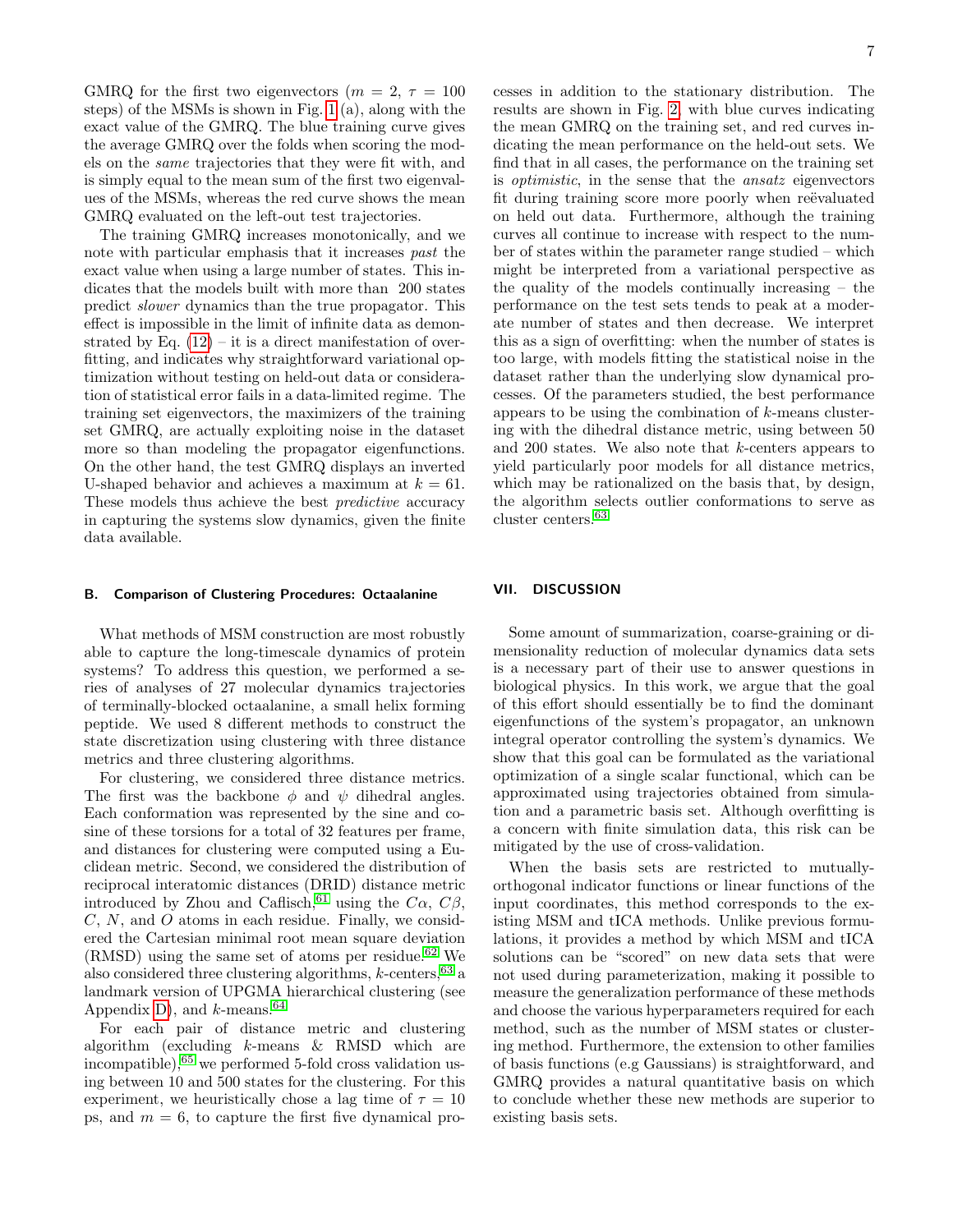GMRQ for the first two eigenvectors ( $m = 2, \tau = 100$ ) steps) of the MSMs is shown in Fig. [1](#page-7-0) (a), along with the exact value of the GMRQ. The blue training curve gives the average GMRQ over the folds when scoring the models on the same trajectories that they were fit with, and is simply equal to the mean sum of the first two eigenvalues of the MSMs, whereas the red curve shows the mean GMRQ evaluated on the left-out test trajectories.

The training GMRQ increases monotonically, and we note with particular emphasis that it increases past the exact value when using a large number of states. This indicates that the models built with more than 200 states predict slower dynamics than the true propagator. This effect is impossible in the limit of infinite data as demonstrated by Eq.  $(12)$  – it is a direct manifestation of overfitting, and indicates why straightforward variational optimization without testing on held-out data or consideration of statistical error fails in a data-limited regime. The training set eigenvectors, the maximizers of the training set GMRQ, are actually exploiting noise in the dataset more so than modeling the propagator eigenfunctions. On the other hand, the test GMRQ displays an inverted U-shaped behavior and achieves a maximum at  $k = 61$ . These models thus achieve the best predictive accuracy in capturing the systems slow dynamics, given the finite data available.

#### B. Comparison of Clustering Procedures: Octaalanine

What methods of MSM construction are most robustly able to capture the long-timescale dynamics of protein systems? To address this question, we performed a series of analyses of 27 molecular dynamics trajectories of terminally-blocked octaalanine, a small helix forming peptide. We used 8 different methods to construct the state discretization using clustering with three distance metrics and three clustering algorithms.

For clustering, we considered three distance metrics. The first was the backbone  $\phi$  and  $\psi$  dihedral angles. Each conformation was represented by the sine and cosine of these torsions for a total of 32 features per frame, and distances for clustering were computed using a Euclidean metric. Second, we considered the distribution of reciprocal interatomic distances (DRID) distance metric introduced by Zhou and Caflisch,<sup>[61](#page-12-22)</sup> using the  $C\alpha$ ,  $C\beta$ ,  $C, N$ , and  $O$  atoms in each residue. Finally, we considered the Cartesian minimal root mean square deviation  $(RMSD)$  using the same set of atoms per residue.<sup>[62](#page-12-23)</sup> We also considered three clustering algorithms,  $k$ -centers,  $63$  a landmark version of UPGMA hierarchical clustering (see Appendix [D\)](#page-11-16), and  $k$ -means.<sup>[64](#page-12-25)</sup>

For each pair of distance metric and clustering algorithm (excluding k-means & RMSD which are incompatible),  $65$  we performed 5-fold cross validation using between 10 and 500 states for the clustering. For this experiment, we heuristically chose a lag time of  $\tau = 10$ ps, and  $m = 6$ , to capture the first five dynamical processes in addition to the stationary distribution. The results are shown in Fig. [2,](#page-7-1) with blue curves indicating the mean GMRQ on the training set, and red curves indicating the mean performance on the held-out sets. We find that in all cases, the performance on the training set is optimistic, in the sense that the ansatz eigenvectors fit during training score more poorly when reëvaluated on held out data. Furthermore, although the training curves all continue to increase with respect to the number of states within the parameter range studied – which might be interpreted from a variational perspective as the quality of the models continually increasing – the performance on the test sets tends to peak at a moderate number of states and then decrease. We interpret this as a sign of overfitting: when the number of states is too large, with models fitting the statistical noise in the dataset rather than the underlying slow dynamical processes. Of the parameters studied, the best performance appears to be using the combination of k-means clustering with the dihedral distance metric, using between 50 and 200 states. We also note that  $k$ -centers appears to yield particularly poor models for all distance metrics, which may be rationalized on the basis that, by design, the algorithm selects outlier conformations to serve as cluster centers.[63](#page-12-24)

# VII. DISCUSSION

Some amount of summarization, coarse-graining or dimensionality reduction of molecular dynamics data sets is a necessary part of their use to answer questions in biological physics. In this work, we argue that the goal of this effort should essentially be to find the dominant eigenfunctions of the system's propagator, an unknown integral operator controlling the system's dynamics. We show that this goal can be formulated as the variational optimization of a single scalar functional, which can be approximated using trajectories obtained from simulation and a parametric basis set. Although overfitting is a concern with finite simulation data, this risk can be mitigated by the use of cross-validation.

When the basis sets are restricted to mutuallyorthogonal indicator functions or linear functions of the input coordinates, this method corresponds to the existing MSM and tICA methods. Unlike previous formulations, it provides a method by which MSM and tICA solutions can be "scored" on new data sets that were not used during parameterization, making it possible to measure the generalization performance of these methods and choose the various hyperparameters required for each method, such as the number of MSM states or clustering method. Furthermore, the extension to other families of basis functions (e.g Gaussians) is straightforward, and GMRQ provides a natural quantitative basis on which to conclude whether these new methods are superior to existing basis sets.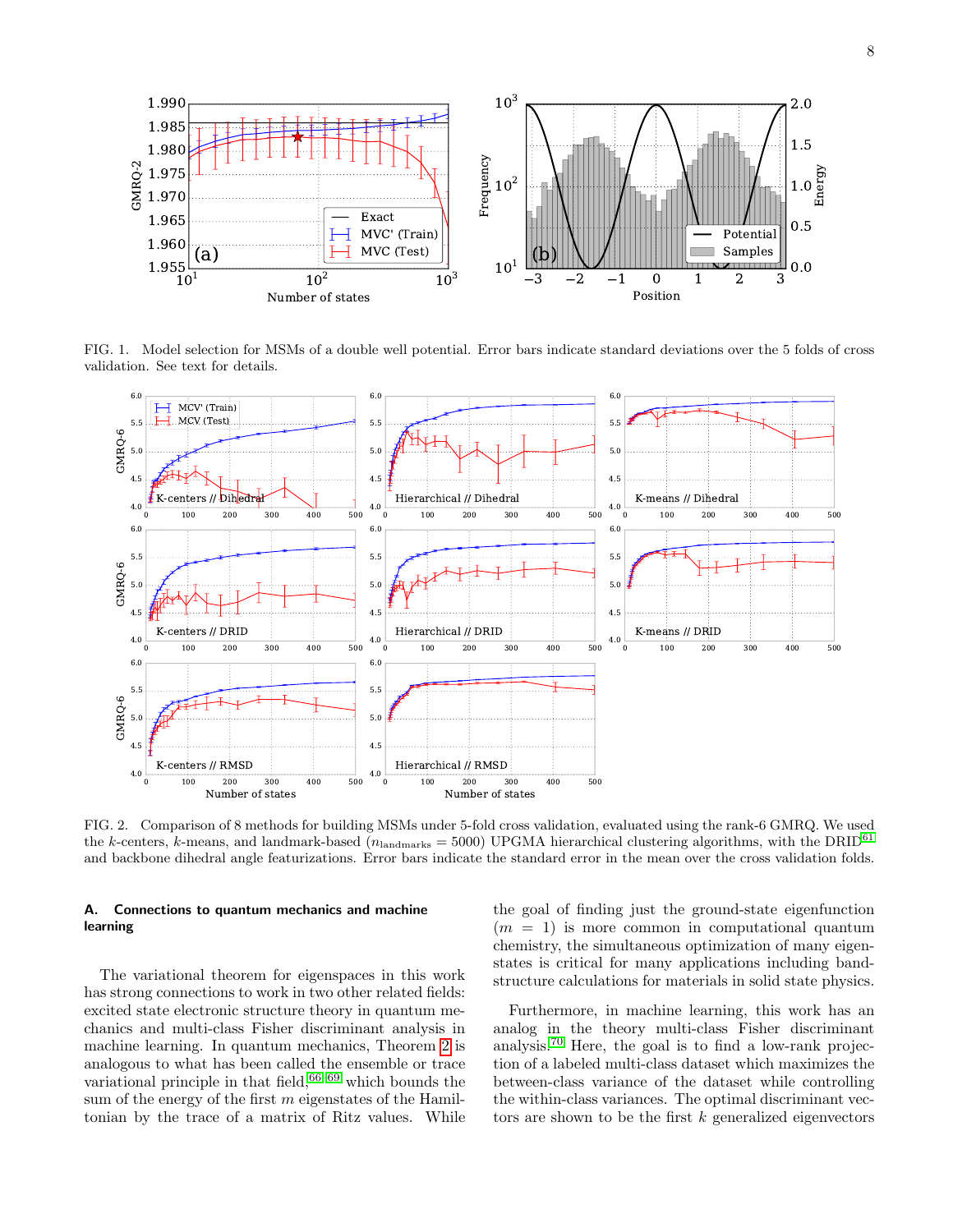

<span id="page-7-0"></span>FIG. 1. Model selection for MSMs of a double well potential. Error bars indicate standard deviations over the 5 folds of cross validation. See text for details.



<span id="page-7-1"></span>FIG. 2. Comparison of 8 methods for building MSMs under 5-fold cross validation, evaluated using the rank-6 GMRQ. We used the k-centers, k-means, and landmark-based ( $n_{\text{landmarks}} = 5000$ ) UPGMA hierarchical clustering algorithms, with the DRID<sup>[61](#page-12-22)</sup> and backbone dihedral angle featurizations. Error bars indicate the standard error in the mean over the cross validation folds.

## A. Connections to quantum mechanics and machine learning

The variational theorem for eigenspaces in this work has strong connections to work in two other related fields: excited state electronic structure theory in quantum mechanics and multi-class Fisher discriminant analysis in machine learning. In quantum mechanics, Theorem [2](#page-3-1) is analogous to what has been called the ensemble or trace variational principle in that field,  $66-69$  $66-69$  which bounds the sum of the energy of the first  $m$  eigenstates of the Hamiltonian by the trace of a matrix of Ritz values. While

the goal of finding just the ground-state eigenfunction  $(m = 1)$  is more common in computational quantum chemistry, the simultaneous optimization of many eigenstates is critical for many applications including bandstructure calculations for materials in solid state physics.

Furthermore, in machine learning, this work has an analog in the theory multi-class Fisher discriminant analysis.[70](#page-12-29) Here, the goal is to find a low-rank projection of a labeled multi-class dataset which maximizes the between-class variance of the dataset while controlling the within-class variances. The optimal discriminant vectors are shown to be the first  $k$  generalized eigenvectors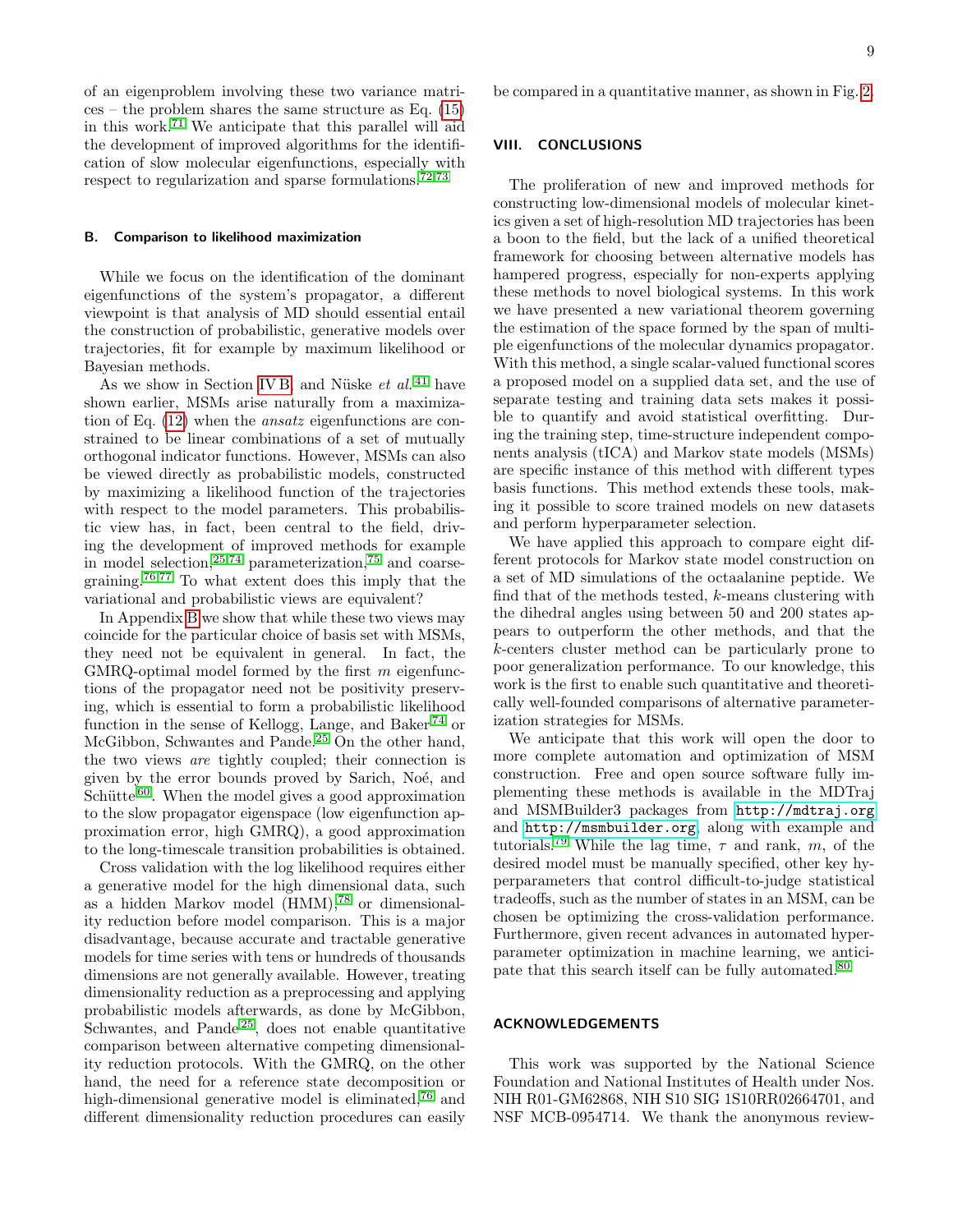of an eigenproblem involving these two variance matri- $ces - the problem shares the same structure as Eq. (15)$  $ces - the problem shares the same structure as Eq. (15)$ in this work.[71](#page-12-30) We anticipate that this parallel will aid the development of improved algorithms for the identification of slow molecular eigenfunctions, especially with respect to regularization and sparse formulations. $72,73$  $72,73$ 

#### B. Comparison to likelihood maximization

While we focus on the identification of the dominant eigenfunctions of the system's propagator, a different viewpoint is that analysis of MD should essential entail the construction of probabilistic, generative models over trajectories, fit for example by maximum likelihood or Bayesian methods.

As we show in Section [IV B,](#page-4-2) and Nüske et al.<sup>[41](#page-12-9)</sup> have shown earlier, MSMs arise naturally from a maximization of Eq. [\(12\)](#page-3-0) when the ansatz eigenfunctions are constrained to be linear combinations of a set of mutually orthogonal indicator functions. However, MSMs can also be viewed directly as probabilistic models, constructed by maximizing a likelihood function of the trajectories with respect to the model parameters. This probabilistic view has, in fact, been central to the field, driving the development of improved methods for example in model selection,[25,](#page-11-11)[74](#page-12-33) parameterization,[75](#page-12-34) and coarse-graining.<sup>[76](#page-12-35)[,77](#page-12-36)</sup> To what extent does this imply that the variational and probabilistic views are equivalent?

In Appendix [B](#page-9-0) we show that while these two views may coincide for the particular choice of basis set with MSMs, they need not be equivalent in general. In fact, the  $GMRQ$ -optimal model formed by the first m eigenfunctions of the propagator need not be positivity preserving, which is essential to form a probabilistic likelihood function in the sense of Kellogg, Lange, and Baker<sup>[74](#page-12-33)</sup> or McGibbon, Schwantes and Pande.<sup>[25](#page-11-11)</sup> On the other hand, the two views are tightly coupled; their connection is given by the error bounds proved by Sarich, Noé, and Schütte  $60$ . When the model gives a good approximation to the slow propagator eigenspace (low eigenfunction approximation error, high GMRQ), a good approximation to the long-timescale transition probabilities is obtained.

Cross validation with the log likelihood requires either a generative model for the high dimensional data, such as a hidden Markov model (HMM),[78](#page-12-37) or dimensionality reduction before model comparison. This is a major disadvantage, because accurate and tractable generative models for time series with tens or hundreds of thousands dimensions are not generally available. However, treating dimensionality reduction as a preprocessing and applying probabilistic models afterwards, as done by McGibbon, Schwantes, and Pande<sup>[25](#page-11-11)</sup>, does not enable quantitative comparison between alternative competing dimensionality reduction protocols. With the GMRQ, on the other hand, the need for a reference state decomposition or high-dimensional generative model is eliminated,<sup>[76](#page-12-35)</sup> and different dimensionality reduction procedures can easily

be compared in a quantitative manner, as shown in Fig. [2.](#page-7-1)

## VIII. CONCLUSIONS

The proliferation of new and improved methods for constructing low-dimensional models of molecular kinetics given a set of high-resolution MD trajectories has been a boon to the field, but the lack of a unified theoretical framework for choosing between alternative models has hampered progress, especially for non-experts applying these methods to novel biological systems. In this work we have presented a new variational theorem governing the estimation of the space formed by the span of multiple eigenfunctions of the molecular dynamics propagator. With this method, a single scalar-valued functional scores a proposed model on a supplied data set, and the use of separate testing and training data sets makes it possible to quantify and avoid statistical overfitting. During the training step, time-structure independent components analysis (tICA) and Markov state models (MSMs) are specific instance of this method with different types basis functions. This method extends these tools, making it possible to score trained models on new datasets and perform hyperparameter selection.

We have applied this approach to compare eight different protocols for Markov state model construction on a set of MD simulations of the octaalanine peptide. We find that of the methods tested, k-means clustering with the dihedral angles using between 50 and 200 states appears to outperform the other methods, and that the k-centers cluster method can be particularly prone to poor generalization performance. To our knowledge, this work is the first to enable such quantitative and theoretically well-founded comparisons of alternative parameterization strategies for MSMs.

We anticipate that this work will open the door to more complete automation and optimization of MSM construction. Free and open source software fully implementing these methods is available in the MDTraj and MSMBuilder3 packages from <http://mdtraj.org> and <http://msmbuilder.org>, along with example and tutorials.<sup>[79](#page-12-38)</sup> While the lag time,  $\tau$  and rank, m, of the desired model must be manually specified, other key hyperparameters that control difficult-to-judge statistical tradeoffs, such as the number of states in an MSM, can be chosen be optimizing the cross-validation performance. Furthermore, given recent advances in automated hyperparameter optimization in machine learning, we antici-pate that this search itself can be fully automated.<sup>[80](#page-12-39)</sup>

## ACKNOWLEDGEMENTS

This work was supported by the National Science Foundation and National Institutes of Health under Nos. NIH R01-GM62868, NIH S10 SIG 1S10RR02664701, and NSF MCB-0954714. We thank the anonymous review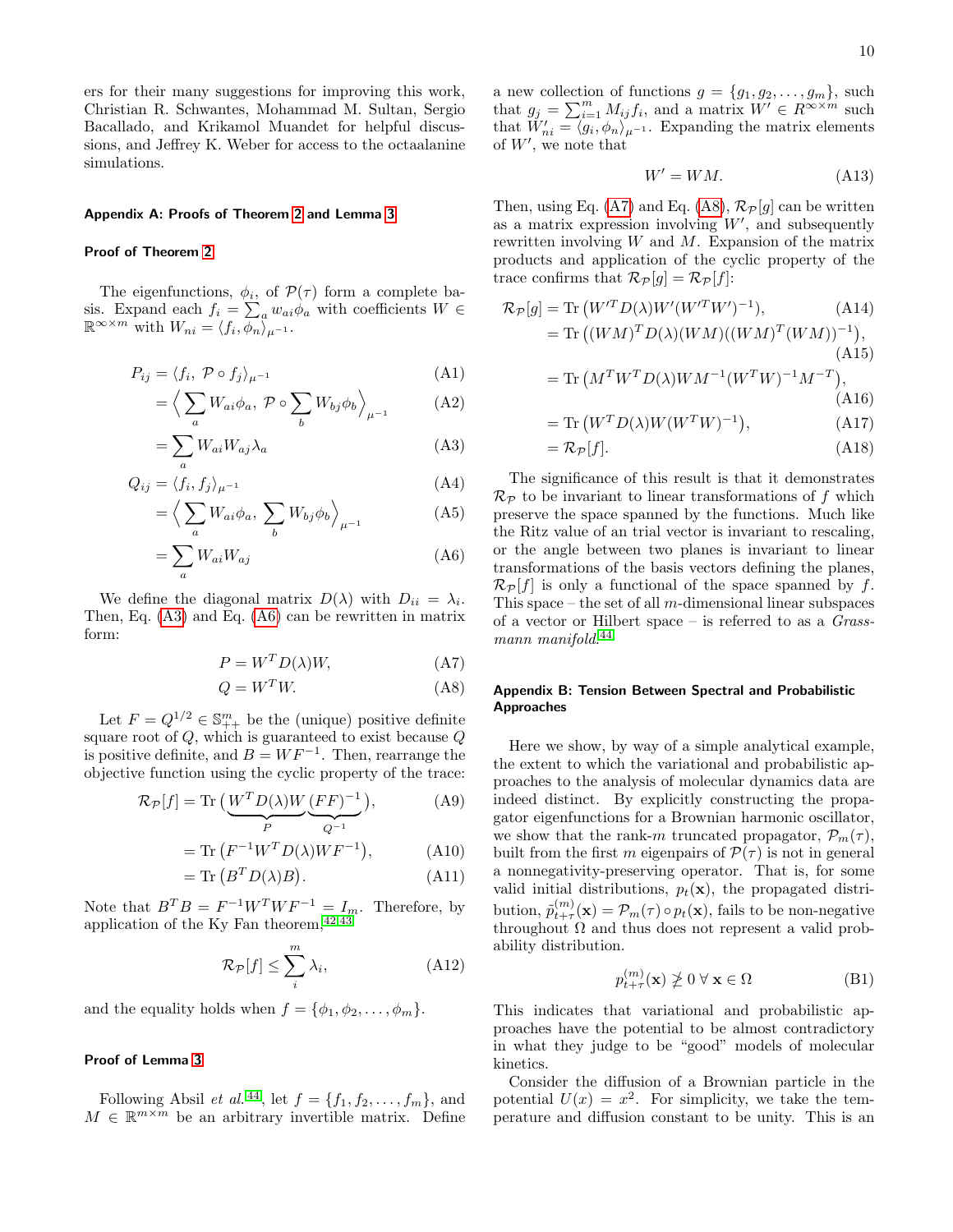ers for their many suggestions for improving this work, Christian R. Schwantes, Mohammad M. Sultan, Sergio Bacallado, and Krikamol Muandet for helpful discussions, and Jeffrey K. Weber for access to the octaalanine simulations.

#### <span id="page-9-1"></span>Appendix A: Proofs of Theorem [2](#page-3-1) and Lemma [3](#page-3-2)

### Proof of Theorem [2](#page-3-1)

The eigenfunctions,  $\phi_i$ , of  $\mathcal{P}(\tau)$  form a complete basis. Expand each  $f_i = \sum_a w_{ai} \phi_a$  with coefficients  $W \in$  $\mathbb{R}^{\infty \times m}$  with  $W_{ni} = \langle f_i, \overline{\phi_n} \rangle_{\mu^{-1}}$ .

$$
P_{ij} = \langle f_i, \mathcal{P} \circ f_j \rangle_{\mu^{-1}} \tag{A1}
$$

$$
= \left\langle \sum_{a} W_{ai} \phi_a, \mathcal{P} \circ \sum_{b} W_{bj} \phi_b \right\rangle_{\mu^{-1}} \tag{A2}
$$

$$
=\sum_{a}W_{ai}W_{aj}\lambda_a\tag{A3}
$$

$$
Q_{ij} = \langle f_i, f_j \rangle_{\mu^{-1}} \tag{A4}
$$

$$
= \left\langle \sum_{a} W_{ai} \phi_a, \sum_{b} W_{bj} \phi_b \right\rangle_{\mu^{-1}} \tag{A5}
$$

$$
=\sum_{a}W_{ai}W_{aj}\tag{A6}
$$

We define the diagonal matrix  $D(\lambda)$  with  $D_{ii} = \lambda_i$ . Then, Eq. [\(A3\)](#page-9-2) and Eq. [\(A6\)](#page-9-3) can be rewritten in matrix form:

$$
P = W^T D(\lambda) W, \tag{A7}
$$

$$
Q = W^T W. \tag{A8}
$$

Let  $F = Q^{1/2} \in \mathbb{S}_{++}^m$  be the (unique) positive definite square root of  $Q$ , which is guaranteed to exist because  $Q$ is positive definite, and  $B = WF^{-1}$ . Then, rearrange the objective function using the cyclic property of the trace:

$$
\mathcal{R}_{\mathcal{P}}[f] = \text{Tr}\left(\underbrace{W^T D(\lambda)W}_{P} \underbrace{(FF)^{-1}}_{Q^{-1}}\right),\tag{A9}
$$

$$
= \text{Tr}\left(F^{-1}W^T D(\lambda)W F^{-1}\right),\tag{A10}
$$

$$
= \text{Tr}\left(B^T D(\lambda)B\right). \tag{A11}
$$

Note that  $B^T B = F^{-1} W^T W F^{-1} = I_m$ . Therefore, by application of the Ky Fan theorem,  $42,43$  $42,43$ 

$$
\mathcal{R}_{\mathcal{P}}[f] \le \sum_{i}^{m} \lambda_{i},\tag{A12}
$$

and the equality holds when  $f = {\phi_1, \phi_2, \ldots, \phi_m}.$ 

### Proof of Lemma [3](#page-3-2)

Following Absil *et al.*<sup>[44](#page-12-12)</sup>, let  $f = \{f_1, f_2, \ldots, f_m\}$ , and  $M \in \mathbb{R}^{m \times m}$  be an arbitrary invertible matrix. Define

a new collection of functions  $g = \{g_1, g_2, \ldots, g_m\}$ , such that  $g_j = \sum_{i=1}^m M_{ij} f_i$ , and a matrix  $W' \in R^{\infty \times m}$  such that  $W'_{ni} = \langle g_i, \phi_n \rangle_{\mu^{-1}}$ . Expanding the matrix elements of  $W'$ , we note that

$$
W' = WM.
$$
 (A13)

Then, using Eq. [\(A7\)](#page-9-4) and Eq. [\(A8\)](#page-9-5),  $\mathcal{R}_{\mathcal{P}}[q]$  can be written as a matrix expression involving  $W'$ , and subsequently rewritten involving  $W$  and  $M$ . Expansion of the matrix products and application of the cyclic property of the trace confirms that  $\mathcal{R}_{\mathcal{P}}[q] = \mathcal{R}_{\mathcal{P}}[f]$ :

$$
\mathcal{R}_{\mathcal{P}}[g] = \text{Tr} \left( W'^T D(\lambda) W'(W'^T W')^{-1} \right), \qquad (A14)
$$
\n
$$
= \text{Tr} \left( (WM)^T D(\lambda) (WM) ((WM)^T (WM))^{-1} \right), \qquad (A15)
$$
\n
$$
= \text{Tr} \left( M^T W^T D(\lambda) W M^{-1} (W^T W)^{-1} M^{-T} \right), \qquad (A16)
$$

$$
= \text{Tr}\left(W^T D(\lambda) W (W^T W)^{-1}\right),\tag{A17}
$$

$$
= \mathcal{R}_{\mathcal{P}}[f]. \tag{A18}
$$

<span id="page-9-3"></span><span id="page-9-2"></span>The significance of this result is that it demonstrates  $\mathcal{R}_{\mathcal{P}}$  to be invariant to linear transformations of f which preserve the space spanned by the functions. Much like the Ritz value of an trial vector is invariant to rescaling, or the angle between two planes is invariant to linear transformations of the basis vectors defining the planes,  $\mathcal{R}_{\mathcal{P}}[f]$  is only a functional of the space spanned by f. This space – the set of all  $m$ -dimensional linear subspaces of a vector or Hilbert space – is referred to as a Grass-mann manifold.<sup>[44](#page-12-12)</sup>

# <span id="page-9-5"></span><span id="page-9-4"></span><span id="page-9-0"></span>Appendix B: Tension Between Spectral and Probabilistic Approaches

Here we show, by way of a simple analytical example, the extent to which the variational and probabilistic approaches to the analysis of molecular dynamics data are indeed distinct. By explicitly constructing the propagator eigenfunctions for a Brownian harmonic oscillator, we show that the rank-m truncated propagator,  $\mathcal{P}_m(\tau)$ , built from the first m eigenpairs of  $\mathcal{P}(\tau)$  is not in general a nonnegativity-preserving operator. That is, for some valid initial distributions,  $p_t(\mathbf{x})$ , the propagated distribution,  $\tilde{p}_{t+\tau}^{(m)}(\mathbf{x}) = \mathcal{P}_m(\tau) \circ p_t(\mathbf{x})$ , fails to be non-negative throughout  $\Omega$  and thus does not represent a valid probability distribution.

<span id="page-9-6"></span>
$$
p_{t+\tau}^{(m)}(\mathbf{x}) \ngeq 0 \,\forall \,\mathbf{x} \in \Omega \tag{B1}
$$

This indicates that variational and probabilistic approaches have the potential to be almost contradictory in what they judge to be "good" models of molecular kinetics.

Consider the diffusion of a Brownian particle in the potential  $U(x) = x^2$ . For simplicity, we take the temperature and diffusion constant to be unity. This is an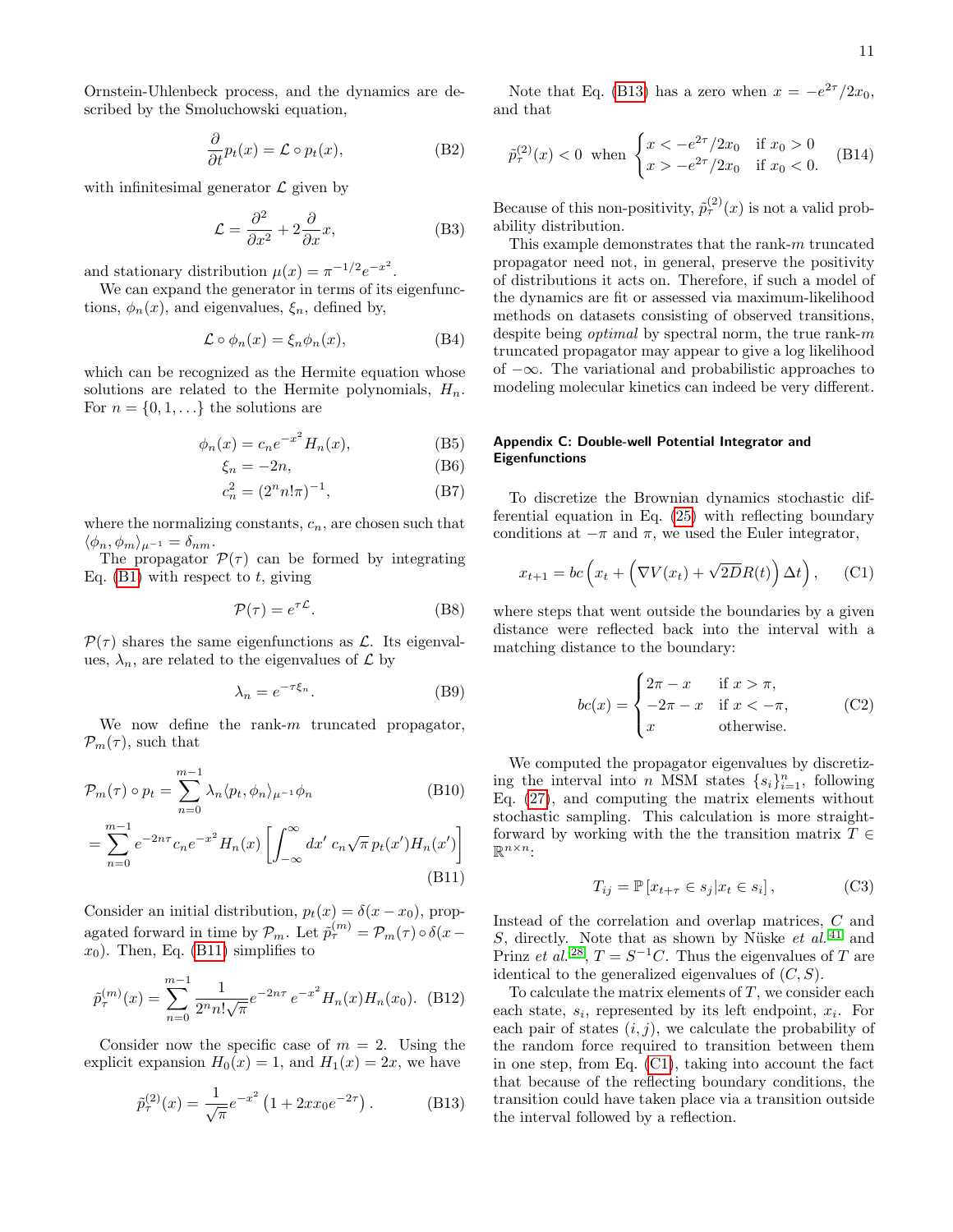Ornstein-Uhlenbeck process, and the dynamics are described by the Smoluchowski equation,

$$
\frac{\partial}{\partial t}p_t(x) = \mathcal{L} \circ p_t(x),\tag{B2}
$$

with infinitesimal generator  $\mathcal L$  given by

$$
\mathcal{L} = \frac{\partial^2}{\partial x^2} + 2\frac{\partial}{\partial x}x,\tag{B3}
$$

and stationary distribution  $\mu(x) = \pi^{-1/2} e^{-x^2}$ .

We can expand the generator in terms of its eigenfunctions,  $\phi_n(x)$ , and eigenvalues,  $\xi_n$ , defined by,

$$
\mathcal{L} \circ \phi_n(x) = \xi_n \phi_n(x), \tag{B4}
$$

which can be recognized as the Hermite equation whose solutions are related to the Hermite polynomials,  $H_n$ . For  $n = \{0, 1, \ldots\}$  the solutions are

$$
\phi_n(x) = c_n e^{-x^2} H_n(x),\tag{B5}
$$

$$
\xi_n = -2n,\tag{B6}
$$

$$
c_n^2 = (2^n n! \pi)^{-1}, \tag{B7}
$$

where the normalizing constants,  $c_n$ , are chosen such that  $\langle \phi_n, \phi_m \rangle_{\mu^{-1}} = \delta_{nm}.$ 

The propagator  $\mathcal{P}(\tau)$  can be formed by integrating Eq.  $(B1)$  with respect to t, giving

$$
\mathcal{P}(\tau) = e^{\tau \mathcal{L}}.\tag{B8}
$$

 $\mathcal{P}(\tau)$  shares the same eigenfunctions as  $\mathcal{L}$ . Its eigenvalues,  $\lambda_n$ , are related to the eigenvalues of  $\mathcal L$  by

$$
\lambda_n = e^{-\tau \xi_n}.\tag{B9}
$$

We now define the rank- $m$  truncated propagator,  $\mathcal{P}_m(\tau)$ , such that

$$
\mathcal{P}_m(\tau) \circ p_t = \sum_{n=0}^{m-1} \lambda_n \langle p_t, \phi_n \rangle_{\mu^{-1}} \phi_n \tag{B10}
$$

$$
= \sum_{n=0}^{m-1} e^{-2n\tau} c_n e^{-x^2} H_n(x) \left[ \int_{-\infty}^{\infty} dx' c_n \sqrt{\pi} p_t(x') H_n(x') \right]
$$
(B11)

Consider an initial distribution,  $p_t(x) = \delta(x - x_0)$ , propagated forward in time by  $\mathcal{P}_m$ . Let  $\tilde{p}_{\tau}^{(m)} = \mathcal{P}_m(\tau) \circ \delta(x - \tau)$  $x_0$ ). Then, Eq. [\(B11\)](#page-10-1) simplifies to

$$
\tilde{p}_{\tau}^{(m)}(x) = \sum_{n=0}^{m-1} \frac{1}{2^n n! \sqrt{\pi}} e^{-2n\tau} e^{-x^2} H_n(x) H_n(x_0). \tag{B12}
$$

Consider now the specific case of  $m = 2$ . Using the explicit expansion  $H_0(x) = 1$ , and  $H_1(x) = 2x$ , we have

$$
\tilde{p}_{\tau}^{(2)}(x) = \frac{1}{\sqrt{\pi}} e^{-x^2} \left( 1 + 2x x_0 e^{-2\tau} \right). \tag{B13}
$$

Note that Eq. [\(B13\)](#page-10-2) has a zero when  $x = -e^{2\tau}/2x_0$ , and that

$$
\tilde{p}_{\tau}^{(2)}(x) < 0 \quad \text{when} \quad \begin{cases} x < -e^{2\tau}/2x_0 & \text{if } x_0 > 0 \\ x > -e^{2\tau}/2x_0 & \text{if } x_0 < 0. \end{cases} \tag{B14}
$$

Because of this non-positivity,  $\tilde{p}_{\tau}^{(2)}(x)$  is not a valid probability distribution.

This example demonstrates that the rank-m truncated propagator need not, in general, preserve the positivity of distributions it acts on. Therefore, if such a model of the dynamics are fit or assessed via maximum-likelihood methods on datasets consisting of observed transitions, despite being optimal by spectral norm, the true rank-m truncated propagator may appear to give a log likelihood of −∞. The variational and probabilistic approaches to modeling molecular kinetics can indeed be very different.

## <span id="page-10-0"></span>Appendix C: Double-well Potential Integrator and Eigenfunctions

To discretize the Brownian dynamics stochastic differential equation in Eq. [\(25\)](#page-5-0) with reflecting boundary conditions at  $-\pi$  and  $\pi$ , we used the Euler integrator,

$$
x_{t+1} = bc\left(x_t + \left(\nabla V(x_t) + \sqrt{2D}R(t)\right)\Delta t\right), \quad \text{(C1)}
$$

where steps that went outside the boundaries by a given distance were reflected back into the interval with a matching distance to the boundary:

<span id="page-10-3"></span>
$$
bc(x) = \begin{cases} 2\pi - x & \text{if } x > \pi, \\ -2\pi - x & \text{if } x < -\pi, \\ x & \text{otherwise.} \end{cases}
$$
 (C2)

We computed the propagator eigenvalues by discretizing the interval into n MSM states  $\{s_i\}_{i=1}^n$ , following Eq. [\(27\)](#page-5-1), and computing the matrix elements without stochastic sampling. This calculation is more straightforward by working with the the transition matrix  $T \in$  $\mathbb{R}^{n \times n}$ :

$$
T_{ij} = \mathbb{P}\left[x_{t+\tau} \in s_j | x_t \in s_i\right],\tag{C3}
$$

<span id="page-10-1"></span>Instead of the correlation and overlap matrices, C and S, directly. Note that as shown by Nüske  $et \ al.$ <sup>[41](#page-12-9)</sup> and Prinz *et al.* <sup>[28](#page-11-14)</sup>,  $T = S^{-1}C$ . Thus the eigenvalues of T are identical to the generalized eigenvalues of  $(C, S)$ .

<span id="page-10-2"></span>To calculate the matrix elements of  $T$ , we consider each each state,  $s_i$ , represented by its left endpoint,  $x_i$ . For each pair of states  $(i, j)$ , we calculate the probability of the random force required to transition between them in one step, from Eq. [\(C1\)](#page-10-3), taking into account the fact that because of the reflecting boundary conditions, the transition could have taken place via a transition outside the interval followed by a reflection.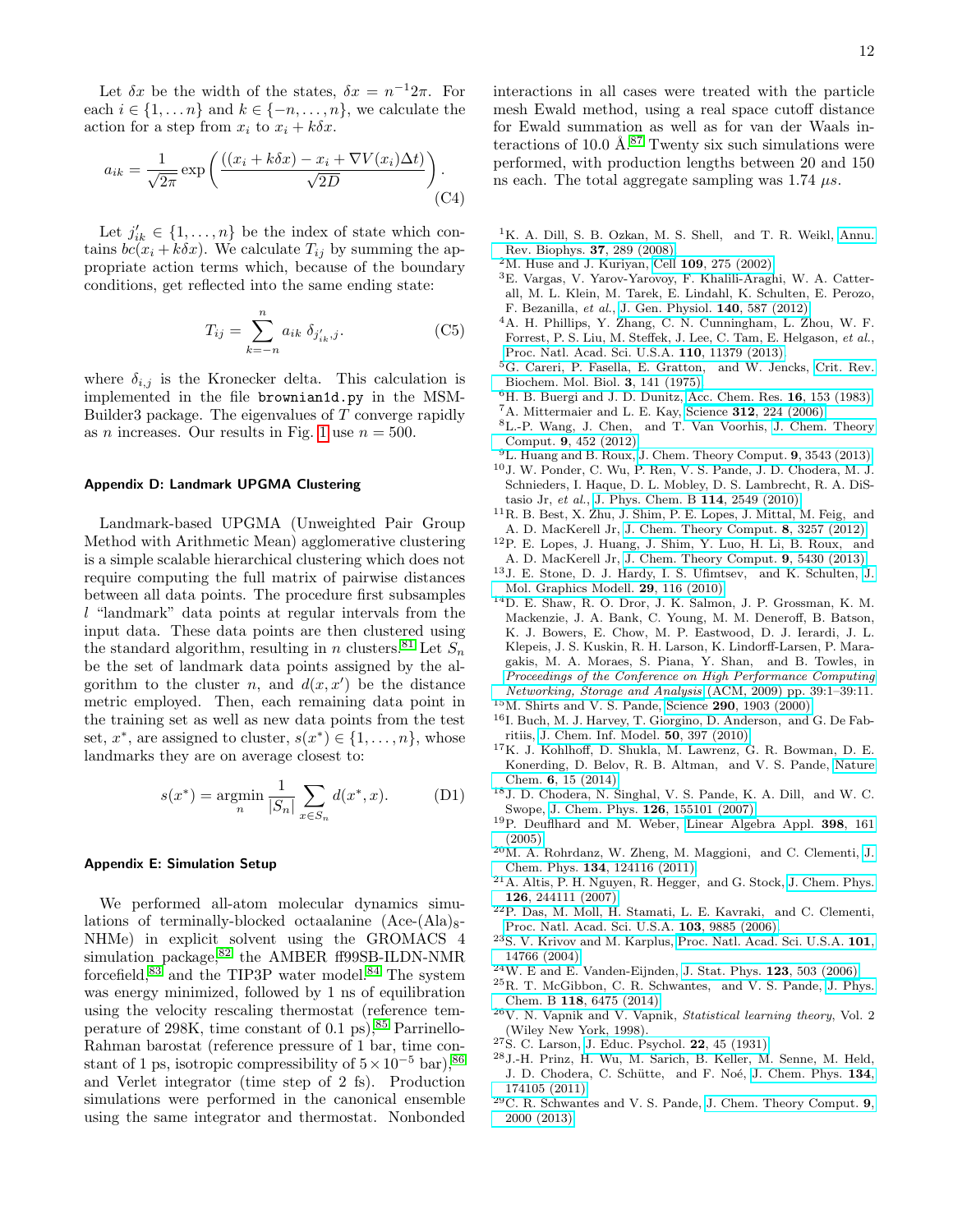Let  $\delta x$  be the width of the states,  $\delta x = n^{-1}2\pi$ . For each  $i \in \{1, \ldots n\}$  and  $k \in \{-n, \ldots, n\}$ , we calculate the action for a step from  $x_i$  to  $x_i + k\delta x$ .

$$
a_{ik} = \frac{1}{\sqrt{2\pi}} \exp\left(\frac{((x_i + k\delta x) - x_i + \nabla V(x_i)\Delta t)}{\sqrt{2D}}\right).
$$
\n(C4)

Let  $j'_{ik} \in \{1, \ldots, n\}$  be the index of state which contains  $bc(x_i + k\delta x)$ . We calculate  $T_{ij}$  by summing the appropriate action terms which, because of the boundary conditions, get reflected into the same ending state:

$$
T_{ij} = \sum_{k=-n}^{n} a_{ik} \, \delta_{j'_{ik},j}.
$$
 (C5)

where  $\delta_{i,j}$  is the Kronecker delta. This calculation is implemented in the file brownian1d.py in the MSM-Builder3 package. The eigenvalues of T converge rapidly as *n* increases. Our results in Fig. [1](#page-7-0) use  $n = 500$ .

#### <span id="page-11-16"></span>Appendix D: Landmark UPGMA Clustering

Landmark-based UPGMA (Unweighted Pair Group Method with Arithmetic Mean) agglomerative clustering is a simple scalable hierarchical clustering which does not require computing the full matrix of pairwise distances between all data points. The procedure first subsamples l "landmark" data points at regular intervals from the input data. These data points are then clustered using the standard algorithm, resulting in n clusters.<sup>[81](#page-12-40)</sup> Let  $S_n$ be the set of landmark data points assigned by the algorithm to the cluster n, and  $d(x, x')$  be the distance metric employed. Then, each remaining data point in the training set as well as new data points from the test set,  $x^*$ , are assigned to cluster,  $s(x^*) \in \{1, \ldots, n\}$ , whose landmarks they are on average closest to:

$$
s(x^*) = \underset{n}{\text{argmin}} \frac{1}{|S_n|} \sum_{x \in S_n} d(x^*, x). \tag{D1}
$$

#### Appendix E: Simulation Setup

We performed all-atom molecular dynamics simulations of terminally-blocked octaalanine  $(Ace-(Ala)<sub>8</sub>$ -NHMe) in explicit solvent using the GROMACS 4 simulation package,<sup>[82](#page-12-41)</sup> the AMBER ff99SB-ILDN-NMR forcefield, $83$  and the TIP3P water model. $84$  The system was energy minimized, followed by 1 ns of equilibration using the velocity rescaling thermostat (reference temperature of 298K, time constant of  $(0.1 \text{ ps})$ ,  $85$  Parrinello-Rahman barostat (reference pressure of 1 bar, time constant of 1 ps, isotropic compressibility of  $5 \times 10^{-5}$  bar),<sup>[86](#page-12-45)</sup> and Verlet integrator (time step of 2 fs). Production simulations were performed in the canonical ensemble using the same integrator and thermostat. Nonbonded

interactions in all cases were treated with the particle mesh Ewald method, using a real space cutoff distance for Ewald summation as well as for van der Waals interactions of 10.0 Å. $87$  Twenty six such simulations were performed, with production lengths between 20 and 150 ns each. The total aggregate sampling was  $1.74 \mu s$ .

- <span id="page-11-0"></span> ${}^{1}$ K. A. Dill, S. B. Ozkan, M. S. Shell, and T. R. Weikl, [Annu.](http://dx.doi.org/10.1146/annurev.biophys.37.092707.153558) [Rev. Biophys.](http://dx.doi.org/10.1146/annurev.biophys.37.092707.153558) 37, 289 (2008).
- <sup>2</sup>M. Huse and J. Kuriyan, Cell 109[, 275 \(2002\).](http://dx.doi.org/10.1016/S0092-8674(02)00741-9)
- <sup>3</sup>E. Vargas, V. Yarov-Yarovoy, F. Khalili-Araghi, W. A. Catterall, M. L. Klein, M. Tarek, E. Lindahl, K. Schulten, E. Perozo, F. Bezanilla, et al., [J. Gen. Physiol.](http://dx.doi.org/ 10.1085/jgp.201210873) 140, 587 (2012).
- <span id="page-11-1"></span><sup>4</sup>A. H. Phillips, Y. Zhang, C. N. Cunningham, L. Zhou, W. F. Forrest, P. S. Liu, M. Steffek, J. Lee, C. Tam, E. Helgason, et al., [Proc. Natl. Acad. Sci. U.S.A.](http://dx.doi.org/10.1073/pnas.1302407110) 110, 11379 (2013).
- <span id="page-11-2"></span><sup>5</sup>G. Careri, P. Fasella, E. Gratton, and W. Jencks, [Crit. Rev.](http://dx.doi.org/10.3109/10409237509102555) [Biochem. Mol. Biol.](http://dx.doi.org/10.3109/10409237509102555) 3, 141 (1975).
- <span id="page-11-3"></span><sup>6</sup>H. B. Buergi and J. D. Dunitz, [Acc. Chem. Res.](http://dx.doi.org/10.1021/ar00089a002) 16, 153 (1983).
- <span id="page-11-4"></span> ${}^{7}$ A. Mittermaier and L. E. Kay, Science 312[, 224 \(2006\).](http://dx.doi.org/10.1126/science.1124964)
- <span id="page-11-5"></span><sup>8</sup>L.-P. Wang, J. Chen, and T. Van Voorhis, [J. Chem. Theory](http://dx.doi.org/10.1021/ct300826t) Comput. 9[, 452 \(2012\).](http://dx.doi.org/10.1021/ct300826t)
- <sup>9</sup>L. Huang and B. Roux, [J. Chem. Theory Comput.](http://dx.doi.org/10.1021/ct4003477) 9, 3543 (2013). <sup>10</sup>J. W. Ponder, C. Wu, P. Ren, V. S. Pande, J. D. Chodera, M. J. Schnieders, I. Haque, D. L. Mobley, D. S. Lambrecht, R. A. DiS-
- tasio Jr, et al., [J. Phys. Chem. B](http://dx.doi.org/ 10.1021/jp910674d) 114, 2549 (2010).  $^{11}{\rm R}$ . B. Best, X. Zhu, J. Shim, P. E. Lopes, J. Mittal, M. Feig, and A. D. MacKerell Jr, [J. Chem. Theory Comput.](http://dx.doi.org/10.1021/ct300400x) 8, 3257 (2012).
- <span id="page-11-6"></span><sup>12</sup>P. E. Lopes, J. Huang, J. Shim, Y. Luo, H. Li, B. Roux, and A. D. MacKerell Jr, [J. Chem. Theory Comput.](http://dx.doi.org/10.1021/ct400781b) 9, 5430 (2013).
- <span id="page-11-7"></span><sup>13</sup>J. E. Stone, D. J. Hardy, I. S. Ufimtsev, and K. Schulten, [J.](http://dx.doi.org/10.1016/j.jmgm.2010.06.010) [Mol. Graphics Modell.](http://dx.doi.org/10.1016/j.jmgm.2010.06.010) 29, 116 (2010).
- <sup>14</sup>D. E. Shaw, R. O. Dror, J. K. Salmon, J. P. Grossman, K. M. Mackenzie, J. A. Bank, C. Young, M. M. Deneroff, B. Batson, K. J. Bowers, E. Chow, M. P. Eastwood, D. J. Ierardi, J. L. Klepeis, J. S. Kuskin, R. H. Larson, K. Lindorff-Larsen, P. Maragakis, M. A. Moraes, S. Piana, Y. Shan, and B. Towles, in [Proceedings of the Conference on High Performance Computing](http://dx.doi.org/10.1145/1654059.1654099) [Networking, Storage and Analysis](http://dx.doi.org/10.1145/1654059.1654099) (ACM, 2009) pp. 39:1–39:11.
- <sup>15</sup>M. Shirts and V. S. Pande, Science 290[, 1903 \(2000\).](http://dx.doi.org/10.1126/science.290.5498.1903)
- <sup>16</sup>I. Buch, M. J. Harvey, T. Giorgino, D. Anderson, and G. De Fabritiis, [J. Chem. Inf. Model.](http://dx.doi.org/ 10.1021/ci900455r) 50, 397 (2010).
- <span id="page-11-8"></span><sup>17</sup>K. J. Kohlhoff, D. Shukla, M. Lawrenz, G. R. Bowman, D. E. Konerding, D. Belov, R. B. Altman, and V. S. Pande, [Nature](http://dx.doi.org/10.1038/nchem.1821) Chem. 6[, 15 \(2014\).](http://dx.doi.org/10.1038/nchem.1821)
- <span id="page-11-9"></span><sup>18</sup>J. D. Chodera, N. Singhal, V. S. Pande, K. A. Dill, and W. C. Swope, J. Chem. Phys. 126[, 155101 \(2007\).](http://dx.doi.org/ 10.1063/1.2714538)
- <sup>19</sup>P. Deuflhard and M. Weber, [Linear Algebra Appl.](http://dx.doi.org/10.1016/j.laa.2004.10.026) 398, 161 [\(2005\).](http://dx.doi.org/10.1016/j.laa.2004.10.026)
- <sup>20</sup>M. A. Rohrdanz, W. Zheng, M. Maggioni, and C. Clementi, [J.](http://dx.doi.org/http://dx.doi.org/10.1063/1.3569857) Chem. Phys. 134[, 124116 \(2011\).](http://dx.doi.org/http://dx.doi.org/10.1063/1.3569857)
- <sup>21</sup>A. Altis, P. H. Nguyen, R. Hegger, and G. Stock, [J. Chem. Phys.](http://dx.doi.org/ http://dx.doi.org/10.1063/1.2746330) 126[, 244111 \(2007\).](http://dx.doi.org/ http://dx.doi.org/10.1063/1.2746330)
- <sup>22</sup>P. Das, M. Moll, H. Stamati, L. E. Kavraki, and C. Clementi, [Proc. Natl. Acad. Sci. U.S.A.](http://dx.doi.org/ 10.1073/pnas.0603553103) 103, 9885 (2006).
- <sup>23</sup>S. V. Krivov and M. Karplus, [Proc. Natl. Acad. Sci. U.S.A.](http://dx.doi.org/10.1073/pnas.0406234101) 101, [14766 \(2004\).](http://dx.doi.org/10.1073/pnas.0406234101)
- <span id="page-11-10"></span> $^{24}\rm{W.}$  E and E. Vanden-Eijnden, [J. Stat. Phys.](http://dx.doi.org/10.1007/s10955-005-9003-9) 123, 503 (2006).
- <span id="page-11-11"></span><sup>25</sup>R. T. McGibbon, C. R. Schwantes, and V. S. Pande, [J. Phys.](http://dx.doi.org/10.1021/jp411822r) Chem. B 118[, 6475 \(2014\).](http://dx.doi.org/10.1021/jp411822r)
- <span id="page-11-12"></span><sup>26</sup>V. N. Vapnik and V. Vapnik, Statistical learning theory, Vol. 2 (Wiley New York, 1998).
- <span id="page-11-13"></span> $27S$ . C. Larson, [J. Educ. Psychol.](http://dx.doi.org/doi/10.1037/h0072400) 22, 45 (1931).
- <span id="page-11-14"></span><sup>28</sup>J.-H. Prinz, H. Wu, M. Sarich, B. Keller, M. Senne, M. Held, J. D. Chodera, C. Schütte, and F. Noé, [J. Chem. Phys.](http://dx.doi.org/10.1063/1.3565032) 134, [174105 \(2011\).](http://dx.doi.org/10.1063/1.3565032)
- <span id="page-11-15"></span><sup>29</sup>C. R. Schwantes and V. S. Pande, [J. Chem. Theory Comput.](http://dx.doi.org/10.1021/ct300878a) 9, [2000 \(2013\).](http://dx.doi.org/10.1021/ct300878a)